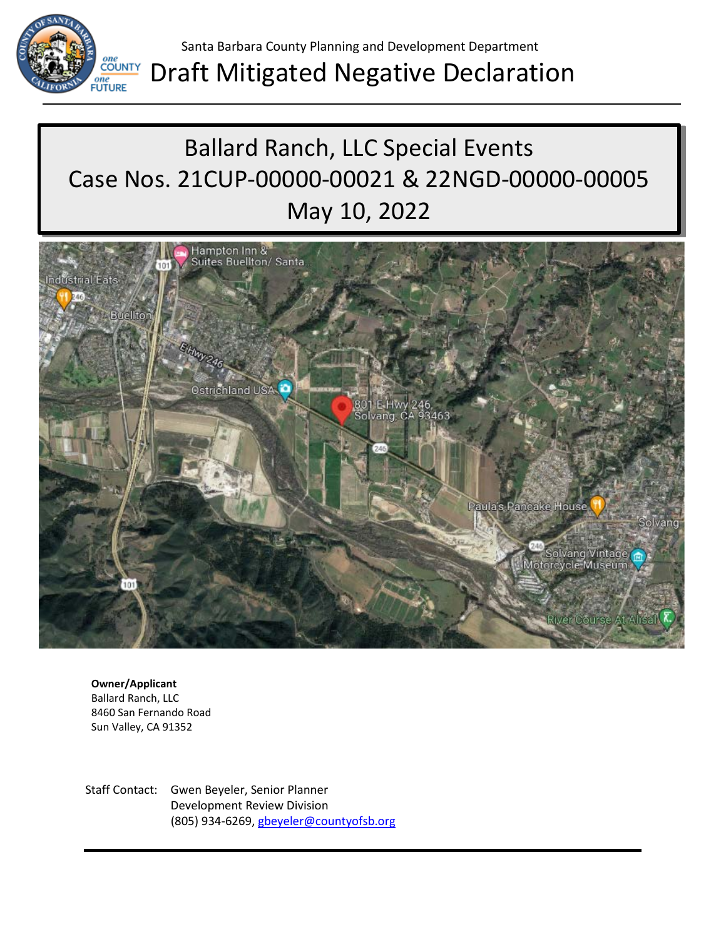

# Draft Mitigated Negative Declaration

# Ballard Ranch, LLC Special Events Case Nos. 21CUP-00000-00021 & 22NGD-00000-00005 May 10, 2022



**Owner/Applicant** Ballard Ranch, LLC 8460 San Fernando Road Sun Valley, CA 91352

Staff Contact: Gwen Beyeler, Senior Planner Development Review Division (805) 934-6269[, gbeyeler@countyofsb.org](mailto:gvonklan@countyofsb.org)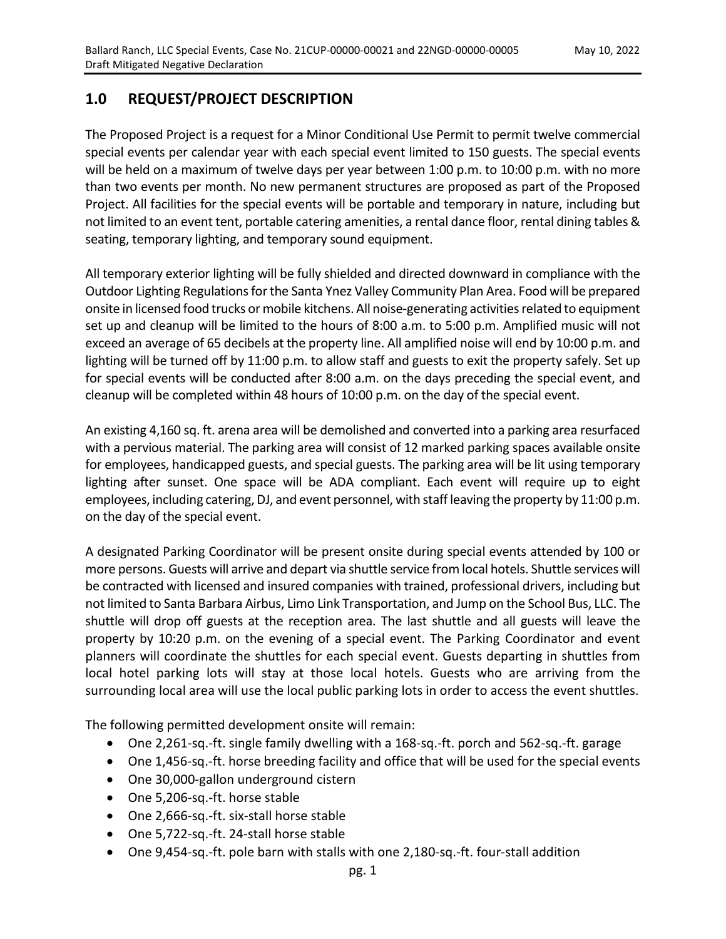# **1.0 REQUEST/PROJECT DESCRIPTION**

The Proposed Project is a request for a Minor Conditional Use Permit to permit twelve commercial special events per calendar year with each special event limited to 150 guests. The special events will be held on a maximum of twelve days per year between 1:00 p.m. to 10:00 p.m. with no more than two events per month. No new permanent structures are proposed as part of the Proposed Project. All facilities for the special events will be portable and temporary in nature, including but not limited to an event tent, portable catering amenities, a rental dance floor, rental dining tables & seating, temporary lighting, and temporary sound equipment.

All temporary exterior lighting will be fully shielded and directed downward in compliance with the Outdoor Lighting Regulations for the Santa Ynez Valley Community Plan Area. Food will be prepared onsite in licensed food trucks or mobile kitchens. All noise-generating activities related to equipment set up and cleanup will be limited to the hours of 8:00 a.m. to 5:00 p.m. Amplified music will not exceed an average of 65 decibels at the property line. All amplified noise will end by 10:00 p.m. and lighting will be turned off by 11:00 p.m. to allow staff and guests to exit the property safely. Set up for special events will be conducted after 8:00 a.m. on the days preceding the special event, and cleanup will be completed within 48 hours of 10:00 p.m. on the day of the special event.

An existing 4,160 sq. ft. arena area will be demolished and converted into a parking area resurfaced with a pervious material. The parking area will consist of 12 marked parking spaces available onsite for employees, handicapped guests, and special guests. The parking area will be lit using temporary lighting after sunset. One space will be ADA compliant. Each event will require up to eight employees, including catering, DJ, and event personnel, with staff leaving the property by 11:00 p.m. on the day of the special event.

A designated Parking Coordinator will be present onsite during special events attended by 100 or more persons. Guests will arrive and depart via shuttle service from local hotels. Shuttle services will be contracted with licensed and insured companies with trained, professional drivers, including but not limited to Santa Barbara Airbus, Limo Link Transportation, and Jump on the School Bus, LLC. The shuttle will drop off guests at the reception area. The last shuttle and all guests will leave the property by 10:20 p.m. on the evening of a special event. The Parking Coordinator and event planners will coordinate the shuttles for each special event. Guests departing in shuttles from local hotel parking lots will stay at those local hotels. Guests who are arriving from the surrounding local area will use the local public parking lots in order to access the event shuttles.

The following permitted development onsite will remain:

- One 2,261-sq.-ft. single family dwelling with a 168-sq.-ft. porch and 562-sq.-ft. garage
- One 1,456-sq.-ft. horse breeding facility and office that will be used for the special events
- One 30,000-gallon underground cistern
- One 5,206-sq.-ft. horse stable
- One 2,666-sq.-ft. six-stall horse stable
- One 5,722-sq.-ft. 24-stall horse stable
- One 9,454-sq.-ft. pole barn with stalls with one 2,180-sq.-ft. four-stall addition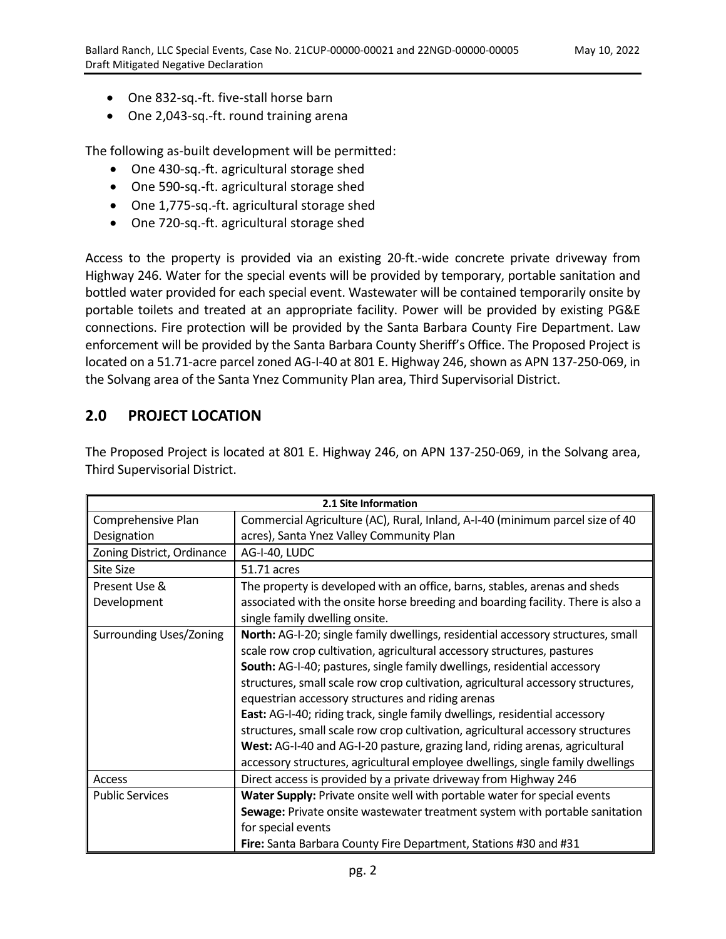- One 832-sq.-ft. five-stall horse barn
- One 2,043-sq.-ft. round training arena

The following as-built development will be permitted:

- One 430-sq.-ft. agricultural storage shed
- One 590-sq.-ft. agricultural storage shed
- One 1,775-sq.-ft. agricultural storage shed
- One 720-sq.-ft. agricultural storage shed

Access to the property is provided via an existing 20-ft.-wide concrete private driveway from Highway 246. Water for the special events will be provided by temporary, portable sanitation and bottled water provided for each special event. Wastewater will be contained temporarily onsite by portable toilets and treated at an appropriate facility. Power will be provided by existing PG&E connections. Fire protection will be provided by the Santa Barbara County Fire Department. Law enforcement will be provided by the Santa Barbara County Sheriff's Office. The Proposed Project is located on a 51.71-acre parcel zoned AG-I-40 at 801 E. Highway 246, shown as APN 137-250-069, in the Solvang area of the Santa Ynez Community Plan area, Third Supervisorial District.

# **2.0 PROJECT LOCATION**

The Proposed Project is located at 801 E. Highway 246, on APN 137-250-069, in the Solvang area, Third Supervisorial District.

| 2.1 Site Information       |                                                                                  |  |  |  |  |  |
|----------------------------|----------------------------------------------------------------------------------|--|--|--|--|--|
| Comprehensive Plan         | Commercial Agriculture (AC), Rural, Inland, A-I-40 (minimum parcel size of 40    |  |  |  |  |  |
| Designation                | acres), Santa Ynez Valley Community Plan                                         |  |  |  |  |  |
| Zoning District, Ordinance | AG-I-40, LUDC                                                                    |  |  |  |  |  |
| Site Size                  | 51.71 acres                                                                      |  |  |  |  |  |
| Present Use &              | The property is developed with an office, barns, stables, arenas and sheds       |  |  |  |  |  |
| Development                | associated with the onsite horse breeding and boarding facility. There is also a |  |  |  |  |  |
|                            | single family dwelling onsite.                                                   |  |  |  |  |  |
| Surrounding Uses/Zoning    | North: AG-I-20; single family dwellings, residential accessory structures, small |  |  |  |  |  |
|                            | scale row crop cultivation, agricultural accessory structures, pastures          |  |  |  |  |  |
|                            | South: AG-I-40; pastures, single family dwellings, residential accessory         |  |  |  |  |  |
|                            | structures, small scale row crop cultivation, agricultural accessory structures, |  |  |  |  |  |
|                            | equestrian accessory structures and riding arenas                                |  |  |  |  |  |
|                            | East: AG-I-40; riding track, single family dwellings, residential accessory      |  |  |  |  |  |
|                            | structures, small scale row crop cultivation, agricultural accessory structures  |  |  |  |  |  |
|                            | West: AG-I-40 and AG-I-20 pasture, grazing land, riding arenas, agricultural     |  |  |  |  |  |
|                            | accessory structures, agricultural employee dwellings, single family dwellings   |  |  |  |  |  |
| Access                     | Direct access is provided by a private driveway from Highway 246                 |  |  |  |  |  |
| <b>Public Services</b>     | Water Supply: Private onsite well with portable water for special events         |  |  |  |  |  |
|                            | Sewage: Private onsite wastewater treatment system with portable sanitation      |  |  |  |  |  |
|                            | for special events                                                               |  |  |  |  |  |
|                            | Fire: Santa Barbara County Fire Department, Stations #30 and #31                 |  |  |  |  |  |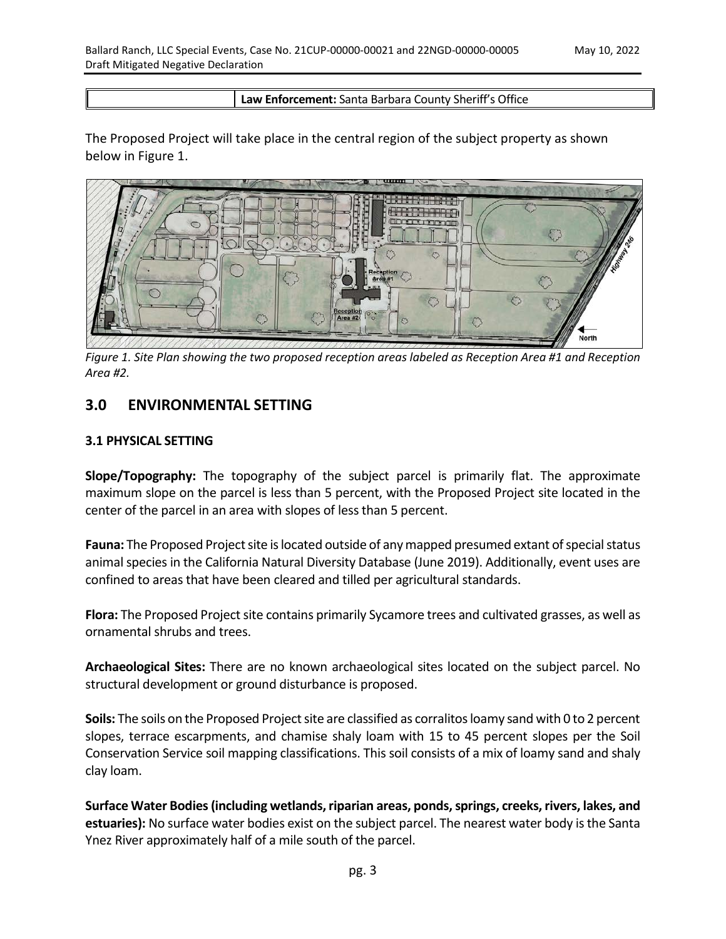#### **Law Enforcement:** Santa Barbara County Sheriff's Office

The Proposed Project will take place in the central region of the subject property as shown below in Figure 1.



*Figure 1. Site Plan showing the two proposed reception areas labeled as Reception Area #1 and Reception Area #2.*

# **3.0 ENVIRONMENTAL SETTING**

## **3.1 PHYSICAL SETTING**

**Slope/Topography:** The topography of the subject parcel is primarily flat. The approximate maximum slope on the parcel is less than 5 percent, with the Proposed Project site located in the center of the parcel in an area with slopes of less than 5 percent.

**Fauna:** The Proposed Project site is located outside of any mapped presumed extant of special status animal species in the California Natural Diversity Database (June 2019). Additionally, event uses are confined to areas that have been cleared and tilled per agricultural standards.

**Flora:** The Proposed Project site contains primarily Sycamore trees and cultivated grasses, as well as ornamental shrubs and trees.

**Archaeological Sites:** There are no known archaeological sites located on the subject parcel. No structural development or ground disturbance is proposed.

**Soils:** The soils on the Proposed Project site are classified as corralitos loamy sand with 0 to 2 percent slopes, terrace escarpments, and chamise shaly loam with 15 to 45 percent slopes per the Soil Conservation Service soil mapping classifications. This soil consists of a mix of loamy sand and shaly clay loam.

**Surface Water Bodies (including wetlands, riparian areas, ponds, springs, creeks, rivers, lakes, and estuaries):** No surface water bodies exist on the subject parcel. The nearest water body is the Santa Ynez River approximately half of a mile south of the parcel.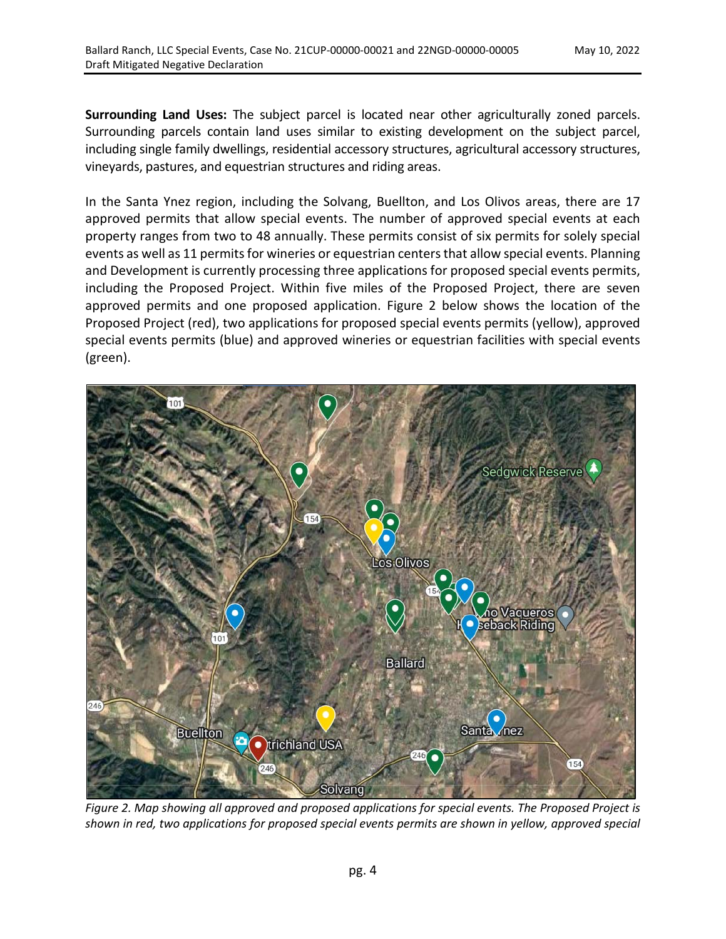**Surrounding Land Uses:** The subject parcel is located near other agriculturally zoned parcels. Surrounding parcels contain land uses similar to existing development on the subject parcel, including single family dwellings, residential accessory structures, agricultural accessory structures, vineyards, pastures, and equestrian structures and riding areas.

In the Santa Ynez region, including the Solvang, Buellton, and Los Olivos areas, there are 17 approved permits that allow special events. The number of approved special events at each property ranges from two to 48 annually. These permits consist of six permits for solely special events as well as 11 permits for wineries or equestrian centers that allow special events. Planning and Development is currently processing three applications for proposed special events permits, including the Proposed Project. Within five miles of the Proposed Project, there are seven approved permits and one proposed application. Figure 2 below shows the location of the Proposed Project (red), two applications for proposed special events permits (yellow), approved special events permits (blue) and approved wineries or equestrian facilities with special events (green).



*Figure 2. Map showing all approved and proposed applications for special events. The Proposed Project is shown in red, two applications for proposed special events permits are shown in yellow, approved special*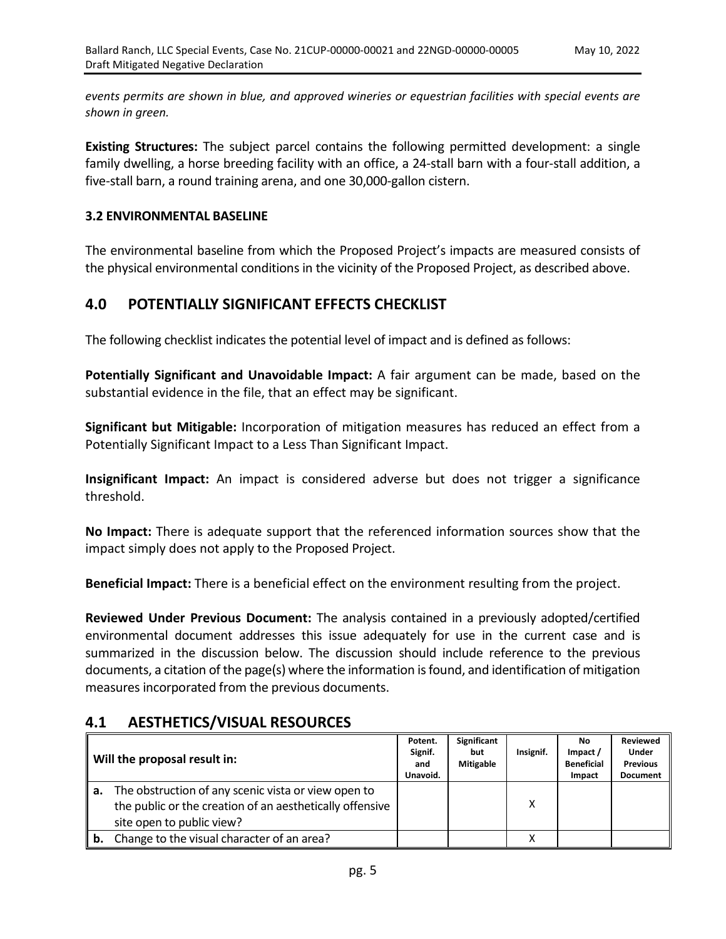*events permits are shown in blue, and approved wineries or equestrian facilities with special events are shown in green.*

**Existing Structures:** The subject parcel contains the following permitted development: a single family dwelling, a horse breeding facility with an office, a 24-stall barn with a four-stall addition, a five-stall barn, a round training arena, and one 30,000-gallon cistern.

## **3.2 ENVIRONMENTAL BASELINE**

The environmental baseline from which the Proposed Project's impacts are measured consists of the physical environmental conditions in the vicinity of the Proposed Project, as described above.

# **4.0 POTENTIALLY SIGNIFICANT EFFECTS CHECKLIST**

The following checklist indicates the potential level of impact and is defined as follows:

**Potentially Significant and Unavoidable Impact:** A fair argument can be made, based on the substantial evidence in the file, that an effect may be significant.

**Significant but Mitigable:** Incorporation of mitigation measures has reduced an effect from a Potentially Significant Impact to a Less Than Significant Impact.

**Insignificant Impact:** An impact is considered adverse but does not trigger a significance threshold.

**No Impact:** There is adequate support that the referenced information sources show that the impact simply does not apply to the Proposed Project.

**Beneficial Impact:** There is a beneficial effect on the environment resulting from the project.

**Reviewed Under Previous Document:** The analysis contained in a previously adopted/certified environmental document addresses this issue adequately for use in the current case and is summarized in the discussion below. The discussion should include reference to the previous documents, a citation of the page(s) where the information is found, and identification of mitigation measures incorporated from the previous documents.

## **4.1 AESTHETICS/VISUAL RESOURCES**

|    | Will the proposal result in:                                                                                                                 | Potent.<br>Signif.<br>and<br>Unavoid. | <b>Significant</b><br>but<br><b>Mitigable</b> | Insignif. | No.<br>Impact /<br><b>Beneficial</b><br>Impact | <b>Reviewed</b><br>Under<br><b>Previous</b><br><b>Document</b> |
|----|----------------------------------------------------------------------------------------------------------------------------------------------|---------------------------------------|-----------------------------------------------|-----------|------------------------------------------------|----------------------------------------------------------------|
| а. | The obstruction of any scenic vista or view open to<br>the public or the creation of an aesthetically offensive<br>site open to public view? |                                       |                                               | Χ         |                                                |                                                                |
| b. | Change to the visual character of an area?                                                                                                   |                                       |                                               |           |                                                |                                                                |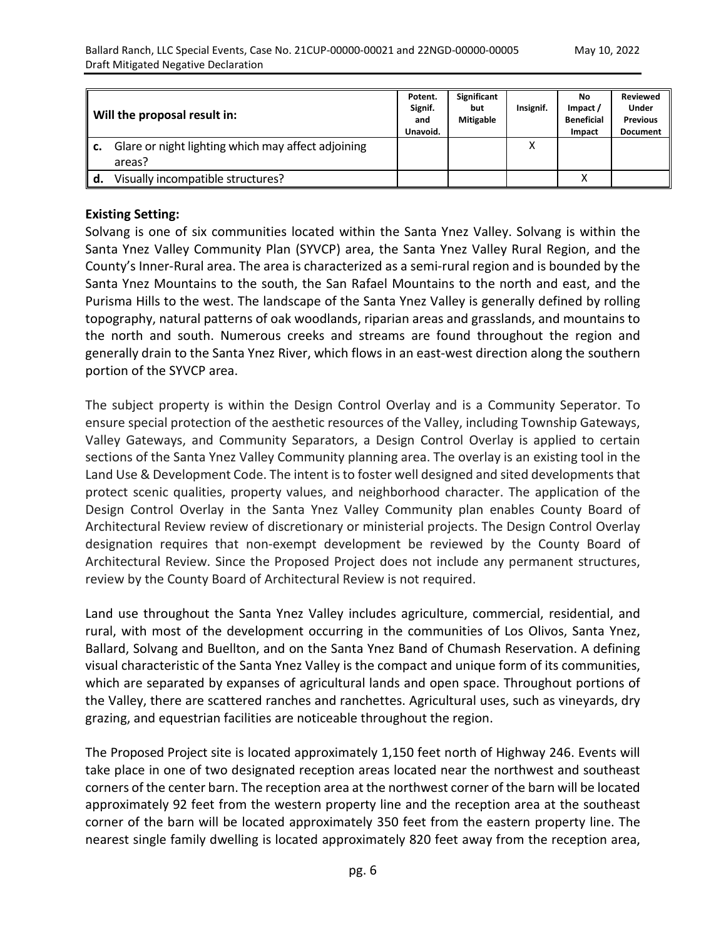|    | Will the proposal result in:                                 | Potent.<br>Signif.<br>and<br>Unavoid. | <b>Significant</b><br>but<br><b>Mitigable</b> | Insignif. | No<br>Impact /<br><b>Beneficial</b><br>Impact | <b>Reviewed</b><br>Under<br><b>Previous</b><br><b>Document</b> |
|----|--------------------------------------------------------------|---------------------------------------|-----------------------------------------------|-----------|-----------------------------------------------|----------------------------------------------------------------|
|    | Glare or night lighting which may affect adjoining<br>areas? |                                       |                                               |           |                                               |                                                                |
| d. | Visually incompatible structures?                            |                                       |                                               |           | x                                             |                                                                |

#### **Existing Setting:**

Solvang is one of six communities located within the Santa Ynez Valley. Solvang is within the Santa Ynez Valley Community Plan (SYVCP) area, the Santa Ynez Valley Rural Region, and the County's Inner-Rural area. The area is characterized as a semi-rural region and is bounded by the Santa Ynez Mountains to the south, the San Rafael Mountains to the north and east, and the Purisma Hills to the west. The landscape of the Santa Ynez Valley is generally defined by rolling topography, natural patterns of oak woodlands, riparian areas and grasslands, and mountains to the north and south. Numerous creeks and streams are found throughout the region and generally drain to the Santa Ynez River, which flows in an east-west direction along the southern portion of the SYVCP area.

The subject property is within the Design Control Overlay and is a Community Seperator. To ensure special protection of the aesthetic resources of the Valley, including Township Gateways, Valley Gateways, and Community Separators, a Design Control Overlay is applied to certain sections of the Santa Ynez Valley Community planning area. The overlay is an existing tool in the Land Use & Development Code. The intent is to foster well designed and sited developments that protect scenic qualities, property values, and neighborhood character. The application of the Design Control Overlay in the Santa Ynez Valley Community plan enables County Board of Architectural Review review of discretionary or ministerial projects. The Design Control Overlay designation requires that non-exempt development be reviewed by the County Board of Architectural Review. Since the Proposed Project does not include any permanent structures, review by the County Board of Architectural Review is not required.

Land use throughout the Santa Ynez Valley includes agriculture, commercial, residential, and rural, with most of the development occurring in the communities of Los Olivos, Santa Ynez, Ballard, Solvang and Buellton, and on the Santa Ynez Band of Chumash Reservation. A defining visual characteristic of the Santa Ynez Valley is the compact and unique form of its communities, which are separated by expanses of agricultural lands and open space. Throughout portions of the Valley, there are scattered ranches and ranchettes. Agricultural uses, such as vineyards, dry grazing, and equestrian facilities are noticeable throughout the region.

The Proposed Project site is located approximately 1,150 feet north of Highway 246. Events will take place in one of two designated reception areas located near the northwest and southeast corners of the center barn. The reception area at the northwest corner of the barn will be located approximately 92 feet from the western property line and the reception area at the southeast corner of the barn will be located approximately 350 feet from the eastern property line. The nearest single family dwelling is located approximately 820 feet away from the reception area,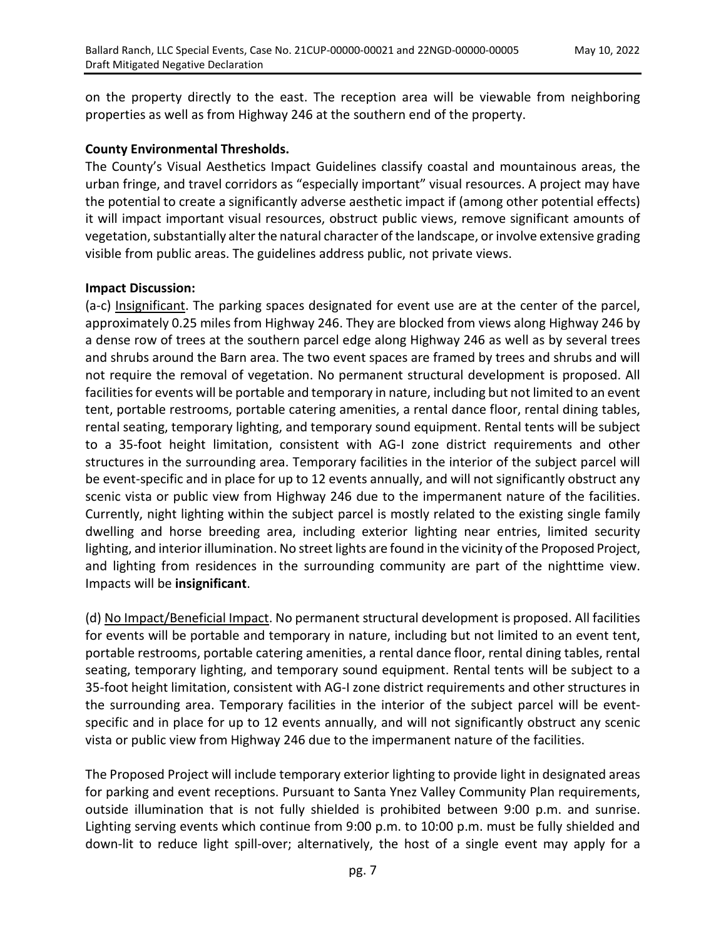on the property directly to the east. The reception area will be viewable from neighboring properties as well as from Highway 246 at the southern end of the property.

#### **County Environmental Thresholds.**

The County's Visual Aesthetics Impact Guidelines classify coastal and mountainous areas, the urban fringe, and travel corridors as "especially important" visual resources. A project may have the potential to create a significantly adverse aesthetic impact if (among other potential effects) it will impact important visual resources, obstruct public views, remove significant amounts of vegetation, substantially alter the natural character of the landscape, or involve extensive grading visible from public areas. The guidelines address public, not private views.

## **Impact Discussion:**

(a-c) Insignificant. The parking spaces designated for event use are at the center of the parcel, approximately 0.25 miles from Highway 246. They are blocked from views along Highway 246 by a dense row of trees at the southern parcel edge along Highway 246 as well as by several trees and shrubs around the Barn area. The two event spaces are framed by trees and shrubs and will not require the removal of vegetation. No permanent structural development is proposed. All facilities for events will be portable and temporary in nature, including but not limited to an event tent, portable restrooms, portable catering amenities, a rental dance floor, rental dining tables, rental seating, temporary lighting, and temporary sound equipment. Rental tents will be subject to a 35-foot height limitation, consistent with AG-I zone district requirements and other structures in the surrounding area. Temporary facilities in the interior of the subject parcel will be event-specific and in place for up to 12 events annually, and will not significantly obstruct any scenic vista or public view from Highway 246 due to the impermanent nature of the facilities. Currently, night lighting within the subject parcel is mostly related to the existing single family dwelling and horse breeding area, including exterior lighting near entries, limited security lighting, and interior illumination. No street lights are found in the vicinity of the Proposed Project, and lighting from residences in the surrounding community are part of the nighttime view. Impacts will be **insignificant**.

(d) No Impact/Beneficial Impact. No permanent structural development is proposed. All facilities for events will be portable and temporary in nature, including but not limited to an event tent, portable restrooms, portable catering amenities, a rental dance floor, rental dining tables, rental seating, temporary lighting, and temporary sound equipment. Rental tents will be subject to a 35-foot height limitation, consistent with AG-I zone district requirements and other structures in the surrounding area. Temporary facilities in the interior of the subject parcel will be eventspecific and in place for up to 12 events annually, and will not significantly obstruct any scenic vista or public view from Highway 246 due to the impermanent nature of the facilities.

The Proposed Project will include temporary exterior lighting to provide light in designated areas for parking and event receptions. Pursuant to Santa Ynez Valley Community Plan requirements, outside illumination that is not fully shielded is prohibited between 9:00 p.m. and sunrise. Lighting serving events which continue from 9:00 p.m. to 10:00 p.m. must be fully shielded and down-lit to reduce light spill-over; alternatively, the host of a single event may apply for a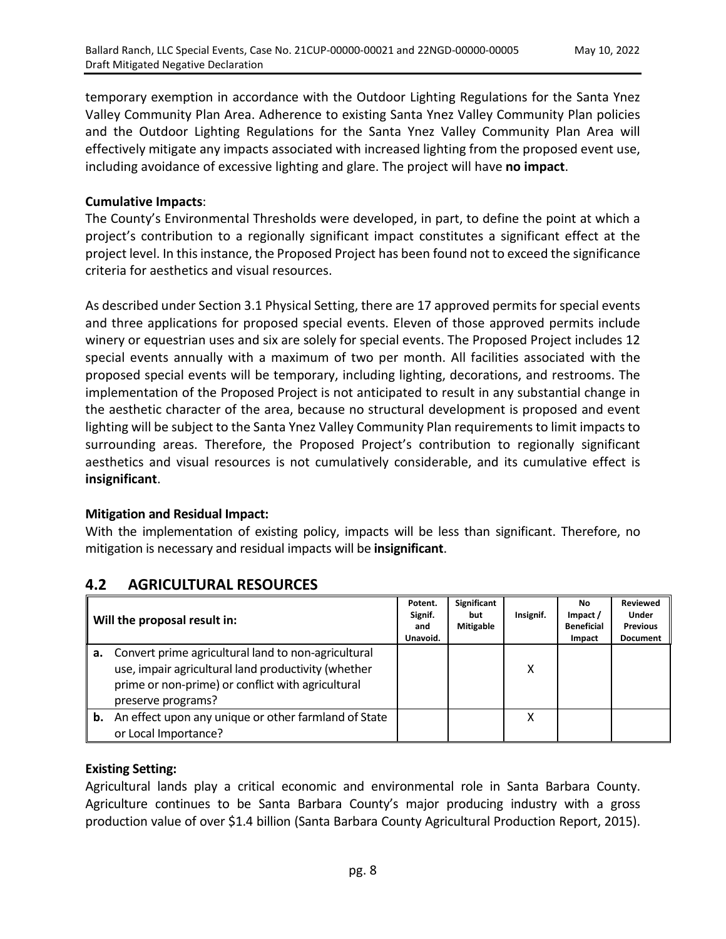temporary exemption in accordance with the Outdoor Lighting Regulations for the Santa Ynez Valley Community Plan Area. Adherence to existing Santa Ynez Valley Community Plan policies and the Outdoor Lighting Regulations for the Santa Ynez Valley Community Plan Area will effectively mitigate any impacts associated with increased lighting from the proposed event use, including avoidance of excessive lighting and glare. The project will have **no impact**.

## **Cumulative Impacts**:

The County's Environmental Thresholds were developed, in part, to define the point at which a project's contribution to a regionally significant impact constitutes a significant effect at the project level. In this instance, the Proposed Project has been found not to exceed the significance criteria for aesthetics and visual resources.

As described under Section 3.1 Physical Setting, there are 17 approved permits for special events and three applications for proposed special events. Eleven of those approved permits include winery or equestrian uses and six are solely for special events. The Proposed Project includes 12 special events annually with a maximum of two per month. All facilities associated with the proposed special events will be temporary, including lighting, decorations, and restrooms. The implementation of the Proposed Project is not anticipated to result in any substantial change in the aesthetic character of the area, because no structural development is proposed and event lighting will be subject to the Santa Ynez Valley Community Plan requirements to limit impacts to surrounding areas. Therefore, the Proposed Project's contribution to regionally significant aesthetics and visual resources is not cumulatively considerable, and its cumulative effect is **insignificant**.

## **Mitigation and Residual Impact:**

With the implementation of existing policy, impacts will be less than significant. Therefore, no mitigation is necessary and residual impacts will be **insignificant**.

|    | Will the proposal result in:                                                                                                                                                             | Potent.<br>Signif.<br>and<br>Unavoid. | Significant<br>but<br><b>Mitigable</b> | Insignif. | No.<br>Impact /<br><b>Beneficial</b><br>Impact | <b>Reviewed</b><br><b>Under</b><br><b>Previous</b><br><b>Document</b> |
|----|------------------------------------------------------------------------------------------------------------------------------------------------------------------------------------------|---------------------------------------|----------------------------------------|-----------|------------------------------------------------|-----------------------------------------------------------------------|
|    | a. Convert prime agricultural land to non-agricultural<br>use, impair agricultural land productivity (whether<br>prime or non-prime) or conflict with agricultural<br>preserve programs? |                                       |                                        | χ         |                                                |                                                                       |
| b. | An effect upon any unique or other farmland of State<br>or Local Importance?                                                                                                             |                                       |                                        | χ         |                                                |                                                                       |

# **4.2 AGRICULTURAL RESOURCES**

## **Existing Setting:**

Agricultural lands play a critical economic and environmental role in Santa Barbara County. Agriculture continues to be Santa Barbara County's major producing industry with a gross production value of over \$1.4 billion (Santa Barbara County Agricultural Production Report, 2015).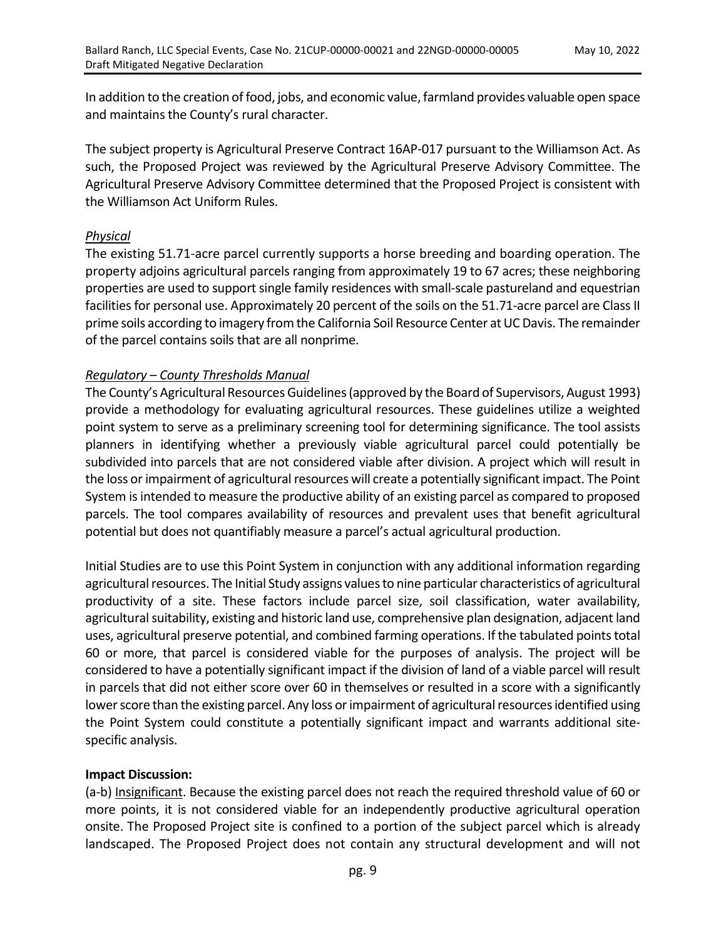In addition to the creation of food, jobs, and economic value, farmland provides valuable open space and maintains the County's rural character.

The subject property is Agricultural Preserve Contract 16AP-017 pursuant to the Williamson Act. As such, the Proposed Project was reviewed by the Agricultural Preserve Advisory Committee. The Agricultural Preserve Advisory Committee determined that the Proposed Project is consistent with the Williamson Act Uniform Rules.

## *Physical*

The existing 51.71-acre parcel currently supports a horse breeding and boarding operation. The property adjoins agricultural parcels ranging from approximately 19 to 67 acres; these neighboring properties are used to support single family residences with small-scale pastureland and equestrian facilities for personal use. Approximately 20 percent of the soils on the 51.71-acre parcel are Class II prime soils according to imagery from the California Soil Resource Center at UC Davis. The remainder of the parcel contains soils that are all nonprime.

## *Regulatory* – *County Thresholds Manual*

The County's Agricultural Resources Guidelines (approved by the Board of Supervisors, August 1993) provide a methodology for evaluating agricultural resources. These guidelines utilize a weighted point system to serve as a preliminary screening tool for determining significance. The tool assists planners in identifying whether a previously viable agricultural parcel could potentially be subdivided into parcels that are not considered viable after division. A project which will result in the loss or impairment of agricultural resources will create a potentially significant impact. The Point System is intended to measure the productive ability of an existing parcel as compared to proposed parcels. The tool compares availability of resources and prevalent uses that benefit agricultural potential but does not quantifiably measure a parcel's actual agricultural production.

Initial Studies are to use this Point System in conjunction with any additional information regarding agricultural resources. The Initial Study assigns values to nine particular characteristics of agricultural productivity of a site. These factors include parcel size, soil classification, water availability, agricultural suitability, existing and historic land use, comprehensive plan designation, adjacent land uses, agricultural preserve potential, and combined farming operations. If the tabulated points total 60 or more, that parcel is considered viable for the purposes of analysis. The project will be considered to have a potentially significant impact if the division of land of a viable parcel will result in parcels that did not either score over 60 in themselves or resulted in a score with a significantly lower score than the existing parcel. Any loss or impairment of agricultural resources identified using the Point System could constitute a potentially significant impact and warrants additional sitespecific analysis.

#### **Impact Discussion:**

(a-b) Insignificant. Because the existing parcel does not reach the required threshold value of 60 or more points, it is not considered viable for an independently productive agricultural operation onsite. The Proposed Project site is confined to a portion of the subject parcel which is already landscaped. The Proposed Project does not contain any structural development and will not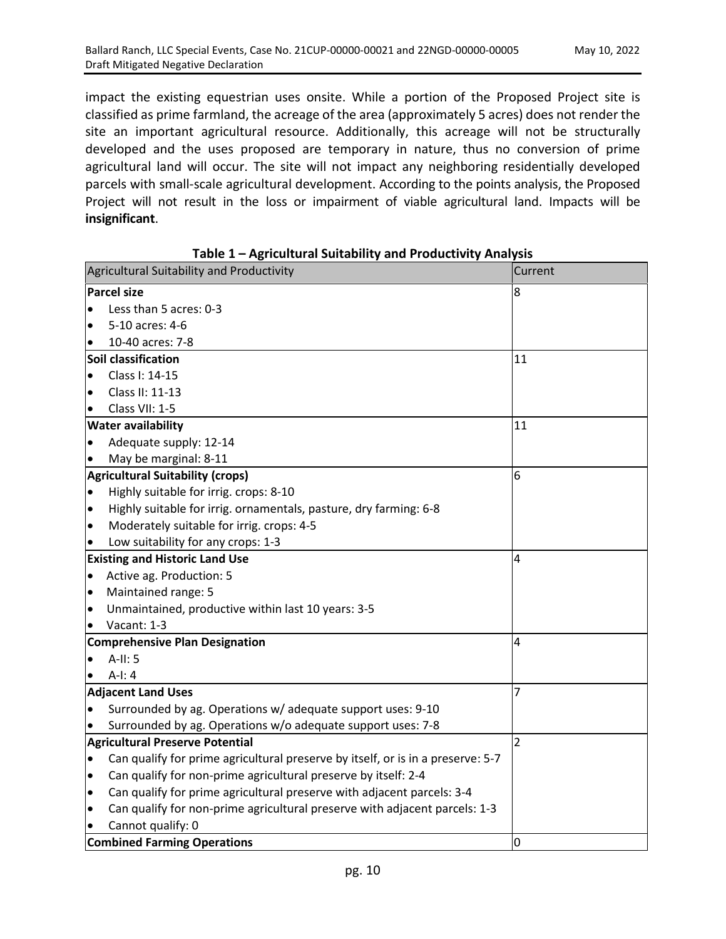impact the existing equestrian uses onsite. While a portion of the Proposed Project site is classified as prime farmland, the acreage of the area (approximately 5 acres) does not render the site an important agricultural resource. Additionally, this acreage will not be structurally developed and the uses proposed are temporary in nature, thus no conversion of prime agricultural land will occur. The site will not impact any neighboring residentially developed parcels with small-scale agricultural development. According to the points analysis, the Proposed Project will not result in the loss or impairment of viable agricultural land. Impacts will be **insignificant**.

|           | Agricultural Suitability and Productivity                                       | Current |
|-----------|---------------------------------------------------------------------------------|---------|
|           | <b>Parcel size</b>                                                              | 8       |
|           | Less than 5 acres: 0-3                                                          |         |
| $\bullet$ | 5-10 acres: 4-6                                                                 |         |
|           | 10-40 acres: 7-8                                                                |         |
|           | Soil classification                                                             | 11      |
| $\bullet$ | Class I: 14-15                                                                  |         |
| $\bullet$ | Class II: 11-13                                                                 |         |
|           | Class VII: 1-5                                                                  |         |
|           | <b>Water availability</b>                                                       | 11      |
| $\bullet$ | Adequate supply: 12-14                                                          |         |
|           | May be marginal: 8-11                                                           |         |
|           | <b>Agricultural Suitability (crops)</b>                                         | 6       |
| $\bullet$ | Highly suitable for irrig. crops: 8-10                                          |         |
| $\bullet$ | Highly suitable for irrig. ornamentals, pasture, dry farming: 6-8               |         |
| $\bullet$ | Moderately suitable for irrig. crops: 4-5                                       |         |
|           | Low suitability for any crops: 1-3                                              |         |
|           | <b>Existing and Historic Land Use</b>                                           | 4       |
| $\bullet$ | Active ag. Production: 5                                                        |         |
| $\bullet$ | Maintained range: 5                                                             |         |
| $\bullet$ | Unmaintained, productive within last 10 years: 3-5                              |         |
| $\bullet$ | Vacant: 1-3                                                                     |         |
|           | <b>Comprehensive Plan Designation</b>                                           | 4       |
| $\bullet$ | $A-II: 5$                                                                       |         |
|           | $A-I: 4$                                                                        |         |
|           | <b>Adjacent Land Uses</b>                                                       | 7       |
|           | Surrounded by ag. Operations w/ adequate support uses: 9-10                     |         |
|           | Surrounded by ag. Operations w/o adequate support uses: 7-8                     |         |
|           | <b>Agricultural Preserve Potential</b>                                          | 2       |
| $\bullet$ | Can qualify for prime agricultural preserve by itself, or is in a preserve: 5-7 |         |
| $\bullet$ | Can qualify for non-prime agricultural preserve by itself: 2-4                  |         |
| $\bullet$ | Can qualify for prime agricultural preserve with adjacent parcels: 3-4          |         |
| $\bullet$ | Can qualify for non-prime agricultural preserve with adjacent parcels: 1-3      |         |
|           | Cannot qualify: 0                                                               |         |
|           | <b>Combined Farming Operations</b>                                              | O       |

**Table 1 – Agricultural Suitability and Productivity Analysis**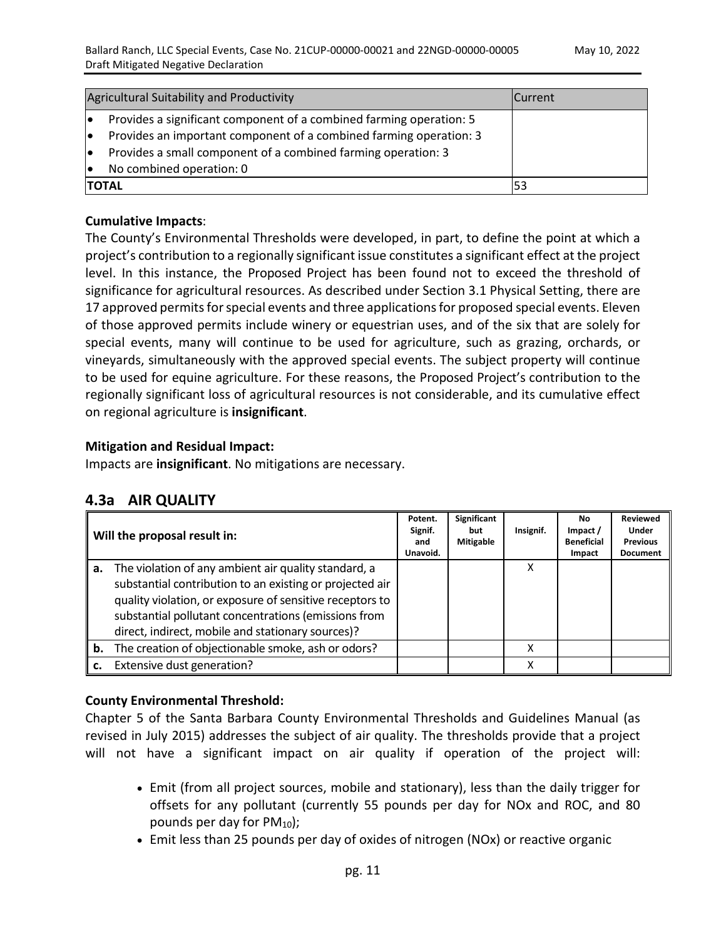| Agricultural Suitability and Productivity                                | <b>Current</b> |
|--------------------------------------------------------------------------|----------------|
| Provides a significant component of a combined farming operation: 5      |                |
| Provides an important component of a combined farming operation: 3<br>lo |                |
| Provides a small component of a combined farming operation: 3            |                |
| No combined operation: 0                                                 |                |
| <b>TOTAL</b>                                                             |                |

## **Cumulative Impacts**:

The County's Environmental Thresholds were developed, in part, to define the point at which a project's contribution to a regionally significant issue constitutes a significant effect at the project level. In this instance, the Proposed Project has been found not to exceed the threshold of significance for agricultural resources. As described under Section 3.1 Physical Setting, there are 17 approved permits for special events and three applications for proposed special events. Eleven of those approved permits include winery or equestrian uses, and of the six that are solely for special events, many will continue to be used for agriculture, such as grazing, orchards, or vineyards, simultaneously with the approved special events. The subject property will continue to be used for equine agriculture. For these reasons, the Proposed Project's contribution to the regionally significant loss of agricultural resources is not considerable, and its cumulative effect on regional agriculture is **insignificant**.

## **Mitigation and Residual Impact:**

Impacts are **insignificant**. No mitigations are necessary.

| 4.3a AIR QUALITY |  |  |
|------------------|--|--|
|------------------|--|--|

|    | Will the proposal result in:                                                                                                                                                                                                                                                              | Potent.<br>Signif.<br>and<br>Unavoid. | Significant<br>but<br><b>Mitigable</b> | Insignif. | No.<br>Impact /<br><b>Beneficial</b><br>Impact | <b>Reviewed</b><br>Under<br><b>Previous</b><br><b>Document</b> |
|----|-------------------------------------------------------------------------------------------------------------------------------------------------------------------------------------------------------------------------------------------------------------------------------------------|---------------------------------------|----------------------------------------|-----------|------------------------------------------------|----------------------------------------------------------------|
| а. | The violation of any ambient air quality standard, a<br>substantial contribution to an existing or projected air<br>quality violation, or exposure of sensitive receptors to<br>substantial pollutant concentrations (emissions from<br>direct, indirect, mobile and stationary sources)? |                                       |                                        | х         |                                                |                                                                |
| b. | The creation of objectionable smoke, ash or odors?                                                                                                                                                                                                                                        |                                       |                                        | χ         |                                                |                                                                |
| c. | Extensive dust generation?                                                                                                                                                                                                                                                                |                                       |                                        | x         |                                                |                                                                |

## **County Environmental Threshold:**

Chapter 5 of the Santa Barbara County Environmental Thresholds and Guidelines Manual (as revised in July 2015) addresses the subject of air quality. The thresholds provide that a project will not have a significant impact on air quality if operation of the project will:

- Emit (from all project sources, mobile and stationary), less than the daily trigger for offsets for any pollutant (currently 55 pounds per day for NOx and ROC, and 80 pounds per day for  $PM_{10}$ ;
- Emit less than 25 pounds per day of oxides of nitrogen (NOx) or reactive organic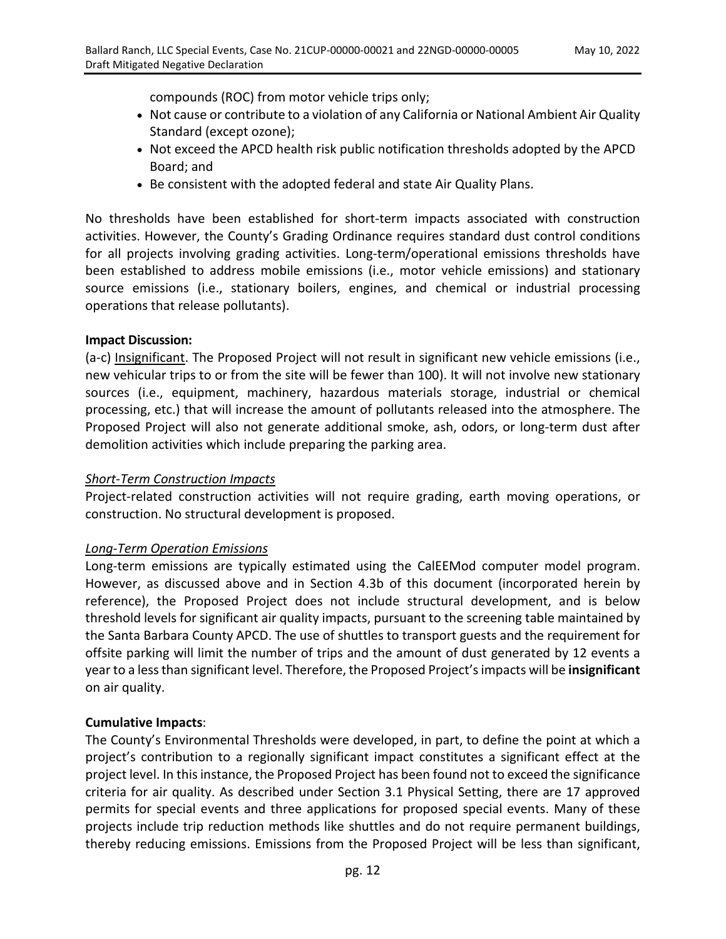compounds (ROC) from motor vehicle trips only;

- Not cause or contribute to a violation of any California or National Ambient Air Quality Standard (except ozone);
- Not exceed the APCD health risk public notification thresholds adopted by the APCD Board; and
- Be consistent with the adopted federal and state Air Quality Plans.

No thresholds have been established for short-term impacts associated with construction activities. However, the County's Grading Ordinance requires standard dust control conditions for all projects involving grading activities. Long-term/operational emissions thresholds have been established to address mobile emissions (i.e., motor vehicle emissions) and stationary source emissions (i.e., stationary boilers, engines, and chemical or industrial processing operations that release pollutants).

## **Impact Discussion:**

(a-c) Insignificant. The Proposed Project will not result in significant new vehicle emissions (i.e., new vehicular trips to or from the site will be fewer than 100). It will not involve new stationary sources (i.e., equipment, machinery, hazardous materials storage, industrial or chemical processing, etc.) that will increase the amount of pollutants released into the atmosphere. The Proposed Project will also not generate additional smoke, ash, odors, or long-term dust after demolition activities which include preparing the parking area.

#### *Short-Term Construction Impacts*

Project-related construction activities will not require grading, earth moving operations, or construction. No structural development is proposed.

## *Long-Term Operation Emissions*

Long-term emissions are typically estimated using the CalEEMod computer model program. However, as discussed above and in Section 4.3b of this document (incorporated herein by reference), the Proposed Project does not include structural development, and is below threshold levels for significant air quality impacts, pursuant to the screening table maintained by the Santa Barbara County APCD. The use of shuttles to transport guests and the requirement for offsite parking will limit the number of trips and the amount of dust generated by 12 events a year to a less than significant level. Therefore, the Proposed Project's impacts will be **insignificant**  on air quality.

## **Cumulative Impacts**:

The County's Environmental Thresholds were developed, in part, to define the point at which a project's contribution to a regionally significant impact constitutes a significant effect at the project level. In this instance, the Proposed Project has been found not to exceed the significance criteria for air quality. As described under Section 3.1 Physical Setting, there are 17 approved permits for special events and three applications for proposed special events. Many of these projects include trip reduction methods like shuttles and do not require permanent buildings, thereby reducing emissions. Emissions from the Proposed Project will be less than significant,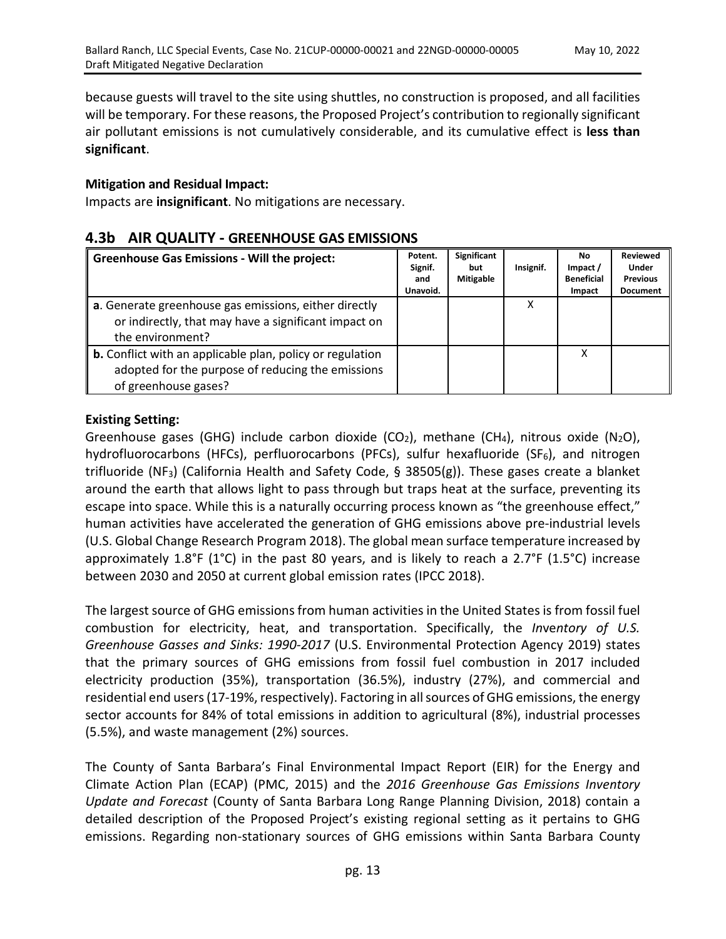because guests will travel to the site using shuttles, no construction is proposed, and all facilities will be temporary. For these reasons, the Proposed Project's contribution to regionally significant air pollutant emissions is not cumulatively considerable, and its cumulative effect is **less than significant**.

#### **Mitigation and Residual Impact:**

Impacts are **insignificant**. No mitigations are necessary.

## **4.3b AIR QUALITY - GREENHOUSE GAS EMISSIONS**

| <b>Greenhouse Gas Emissions - Will the project:</b>                                                                                           | Potent.<br>Signif.<br>and<br>Unavoid. | Significant<br>but<br><b>Mitigable</b> | Insignif. | No.<br>Impact /<br><b>Beneficial</b><br>Impact | <b>Reviewed</b><br><b>Under</b><br><b>Previous</b><br><b>Document</b> |
|-----------------------------------------------------------------------------------------------------------------------------------------------|---------------------------------------|----------------------------------------|-----------|------------------------------------------------|-----------------------------------------------------------------------|
| a. Generate greenhouse gas emissions, either directly<br>or indirectly, that may have a significant impact on<br>the environment?             |                                       |                                        | х         |                                                |                                                                       |
| <b>b.</b> Conflict with an applicable plan, policy or regulation<br>adopted for the purpose of reducing the emissions<br>of greenhouse gases? |                                       |                                        |           | x                                              |                                                                       |

## **Existing Setting:**

Greenhouse gases (GHG) include carbon dioxide (CO<sub>2</sub>), methane (CH<sub>4</sub>), nitrous oxide (N<sub>2</sub>O), hydrofluorocarbons (HFCs), perfluorocarbons (PFCs), sulfur hexafluoride (SF $_6$ ), and nitrogen trifluoride (NF<sub>3</sub>) (California Health and Safety Code, § 38505(g)). These gases create a blanket around the earth that allows light to pass through but traps heat at the surface, preventing its escape into space. While this is a naturally occurring process known as "the greenhouse effect," human activities have accelerated the generation of GHG emissions above pre-industrial levels (U.S. Global Change Research Program 2018). The global mean surface temperature increased by approximately 1.8°F (1°C) in the past 80 years, and is likely to reach a 2.7°F (1.5°C) increase between 2030 and 2050 at current global emission rates (IPCC 2018).

The largest source of GHG emissions from human activities in the United States is from fossil fuel combustion for electricity, heat, and transportation. Specifically, the *In*ve*ntory of U.S. Greenhouse Gasses and Sinks: 1990-2017* (U.S. Environmental Protection Agency 2019) states that the primary sources of GHG emissions from fossil fuel combustion in 2017 included electricity production (35%), transportation (36.5%), industry (27%), and commercial and residential end users (17-19%, respectively). Factoring in all sources of GHG emissions, the energy sector accounts for 84% of total emissions in addition to agricultural (8%), industrial processes (5.5%), and waste management (2%) sources.

The County of Santa Barbara's Final Environmental Impact Report (EIR) for the Energy and Climate Action Plan (ECAP) (PMC, 2015) and the *2016 Greenhouse Gas Emissions Inventory Update and Forecast* (County of Santa Barbara Long Range Planning Division, 2018) contain a detailed description of the Proposed Project's existing regional setting as it pertains to GHG emissions. Regarding non-stationary sources of GHG emissions within Santa Barbara County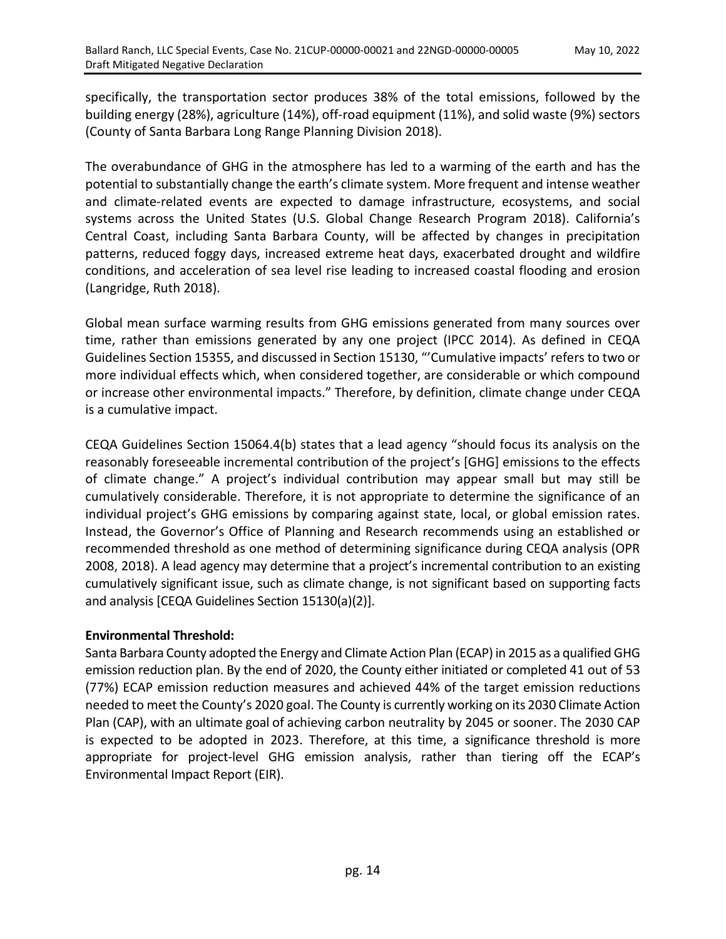specifically, the transportation sector produces 38% of the total emissions, followed by the building energy (28%), agriculture (14%), off-road equipment (11%), and solid waste (9%) sectors (County of Santa Barbara Long Range Planning Division 2018).

The overabundance of GHG in the atmosphere has led to a warming of the earth and has the potential to substantially change the earth's climate system. More frequent and intense weather and climate-related events are expected to damage infrastructure, ecosystems, and social systems across the United States (U.S. Global Change Research Program 2018). California's Central Coast, including Santa Barbara County, will be affected by changes in precipitation patterns, reduced foggy days, increased extreme heat days, exacerbated drought and wildfire conditions, and acceleration of sea level rise leading to increased coastal flooding and erosion (Langridge, Ruth 2018).

Global mean surface warming results from GHG emissions generated from many sources over time, rather than emissions generated by any one project (IPCC 2014). As defined in CEQA Guidelines Section 15355, and discussed in Section 15130, "'Cumulative impacts' refers to two or more individual effects which, when considered together, are considerable or which compound or increase other environmental impacts." Therefore, by definition, climate change under CEQA is a cumulative impact.

CEQA Guidelines Section 15064.4(b) states that a lead agency "should focus its analysis on the reasonably foreseeable incremental contribution of the project's [GHG] emissions to the effects of climate change." A project's individual contribution may appear small but may still be cumulatively considerable. Therefore, it is not appropriate to determine the significance of an individual project's GHG emissions by comparing against state, local, or global emission rates. Instead, the Governor's Office of Planning and Research recommends using an established or recommended threshold as one method of determining significance during CEQA analysis (OPR 2008, 2018). A lead agency may determine that a project's incremental contribution to an existing cumulatively significant issue, such as climate change, is not significant based on supporting facts and analysis [CEQA Guidelines Section 15130(a)(2)].

## **Environmental Threshold:**

Santa Barbara County adopted the Energy and Climate Action Plan (ECAP) in 2015 as a qualified GHG emission reduction plan. By the end of 2020, the County either initiated or completed 41 out of 53 (77%) ECAP emission reduction measures and achieved 44% of the target emission reductions needed to meet the County's 2020 goal. The County is currently working on its 2030 Climate Action Plan (CAP), with an ultimate goal of achieving carbon neutrality by 2045 or sooner. The 2030 CAP is expected to be adopted in 2023. Therefore, at this time, a significance threshold is more appropriate for project-level GHG emission analysis, rather than tiering off the ECAP's Environmental Impact Report (EIR).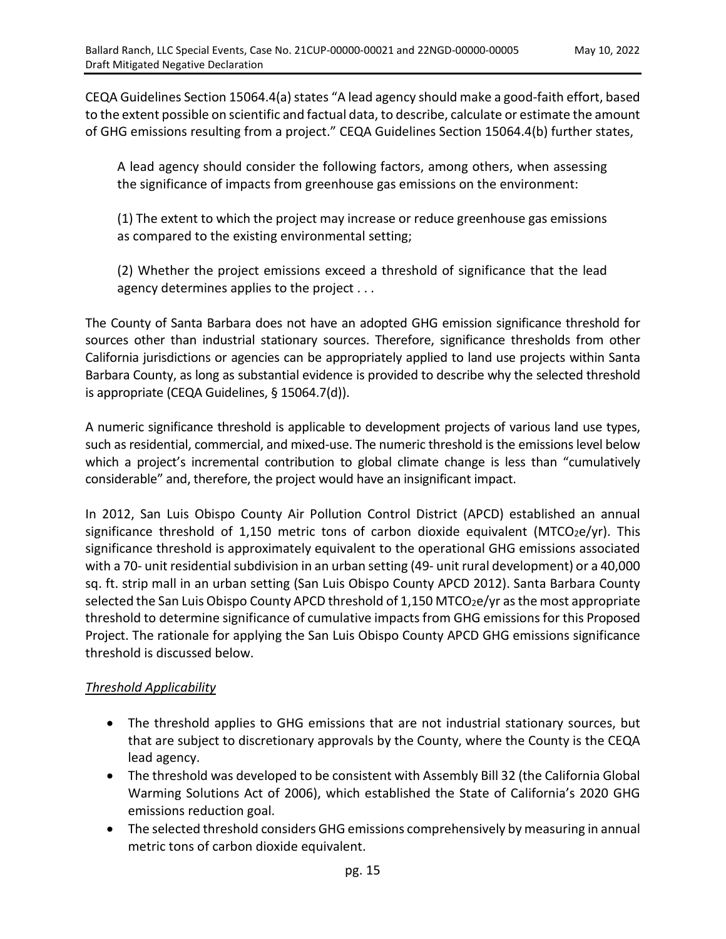CEQA Guidelines Section 15064.4(a) states "A lead agency should make a good-faith effort, based to the extent possible on scientific and factual data, to describe, calculate or estimate the amount of GHG emissions resulting from a project." CEQA Guidelines Section 15064.4(b) further states,

A lead agency should consider the following factors, among others, when assessing the significance of impacts from greenhouse gas emissions on the environment:

(1) The extent to which the project may increase or reduce greenhouse gas emissions as compared to the existing environmental setting;

(2) Whether the project emissions exceed a threshold of significance that the lead agency determines applies to the project . . .

The County of Santa Barbara does not have an adopted GHG emission significance threshold for sources other than industrial stationary sources. Therefore, significance thresholds from other California jurisdictions or agencies can be appropriately applied to land use projects within Santa Barbara County, as long as substantial evidence is provided to describe why the selected threshold is appropriate (CEQA Guidelines, § 15064.7(d)).

A numeric significance threshold is applicable to development projects of various land use types, such as residential, commercial, and mixed-use. The numeric threshold is the emissions level below which a project's incremental contribution to global climate change is less than "cumulatively considerable" and, therefore, the project would have an insignificant impact.

In 2012, San Luis Obispo County Air Pollution Control District (APCD) established an annual significance threshold of 1,150 metric tons of carbon dioxide equivalent ( $MTCO<sub>2</sub>e/yr$ ). This significance threshold is approximately equivalent to the operational GHG emissions associated with a 70- unit residential subdivision in an urban setting (49- unit rural development) or a 40,000 sq. ft. strip mall in an urban setting (San Luis Obispo County APCD 2012). Santa Barbara County selected the San Luis Obispo County APCD threshold of  $1,150$  MTCO<sub>2</sub>e/yr as the most appropriate threshold to determine significance of cumulative impacts from GHG emissions for this Proposed Project. The rationale for applying the San Luis Obispo County APCD GHG emissions significance threshold is discussed below.

## *Threshold Applicability*

- The threshold applies to GHG emissions that are not industrial stationary sources, but that are subject to discretionary approvals by the County, where the County is the CEQA lead agency.
- The threshold was developed to be consistent with Assembly Bill 32 (the California Global Warming Solutions Act of 2006), which established the State of California's 2020 GHG emissions reduction goal.
- The selected threshold considers GHG emissions comprehensively by measuring in annual metric tons of carbon dioxide equivalent.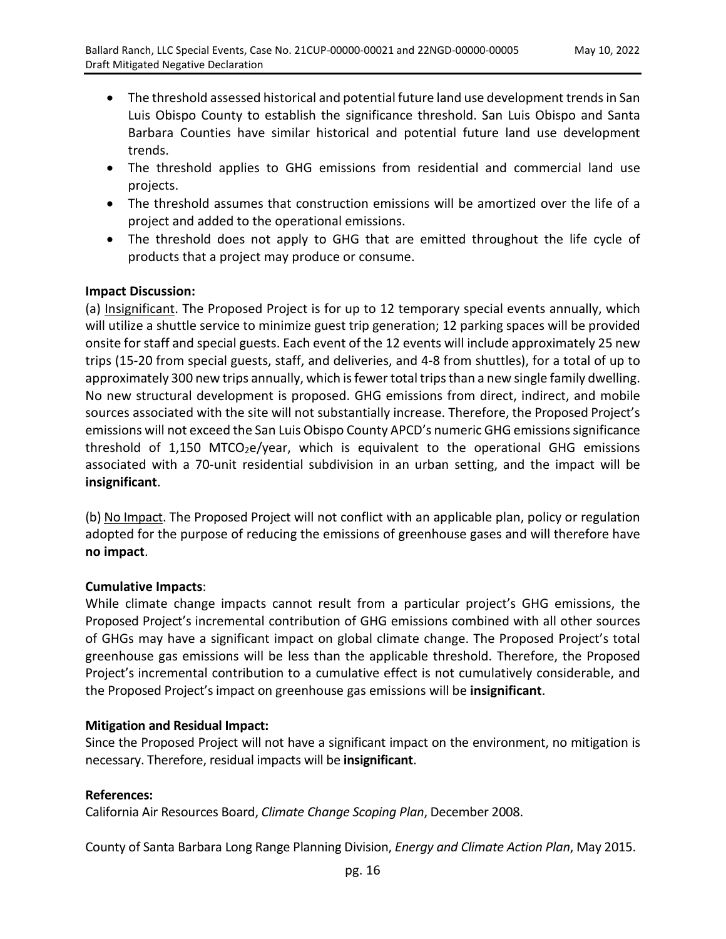- The threshold assessed historical and potential future land use development trends in San Luis Obispo County to establish the significance threshold. San Luis Obispo and Santa Barbara Counties have similar historical and potential future land use development trends.
- The threshold applies to GHG emissions from residential and commercial land use projects.
- The threshold assumes that construction emissions will be amortized over the life of a project and added to the operational emissions.
- The threshold does not apply to GHG that are emitted throughout the life cycle of products that a project may produce or consume.

## **Impact Discussion:**

(a) Insignificant. The Proposed Project is for up to 12 temporary special events annually, which will utilize a shuttle service to minimize guest trip generation; 12 parking spaces will be provided onsite for staff and special guests. Each event of the 12 events will include approximately 25 new trips (15-20 from special guests, staff, and deliveries, and 4-8 from shuttles), for a total of up to approximately 300 new trips annually, which is fewer total trips than a new single family dwelling. No new structural development is proposed. GHG emissions from direct, indirect, and mobile sources associated with the site will not substantially increase. Therefore, the Proposed Project's emissions will not exceed the San Luis Obispo County APCD's numeric GHG emissions significance threshold of 1,150 MTCO<sub>2</sub>e/year, which is equivalent to the operational GHG emissions associated with a 70-unit residential subdivision in an urban setting, and the impact will be **insignificant**.

(b) No Impact. The Proposed Project will not conflict with an applicable plan, policy or regulation adopted for the purpose of reducing the emissions of greenhouse gases and will therefore have **no impact**.

#### **Cumulative Impacts**:

While climate change impacts cannot result from a particular project's GHG emissions, the Proposed Project's incremental contribution of GHG emissions combined with all other sources of GHGs may have a significant impact on global climate change. The Proposed Project's total greenhouse gas emissions will be less than the applicable threshold. Therefore, the Proposed Project's incremental contribution to a cumulative effect is not cumulatively considerable, and the Proposed Project's impact on greenhouse gas emissions will be **insignificant**.

#### **Mitigation and Residual Impact:**

Since the Proposed Project will not have a significant impact on the environment, no mitigation is necessary. Therefore, residual impacts will be **insignificant**.

#### **References:**

California Air Resources Board, *Climate Change Scoping Plan*, December 2008.

County of Santa Barbara Long Range Planning Division, *Energy and Climate Action Plan*, May 2015.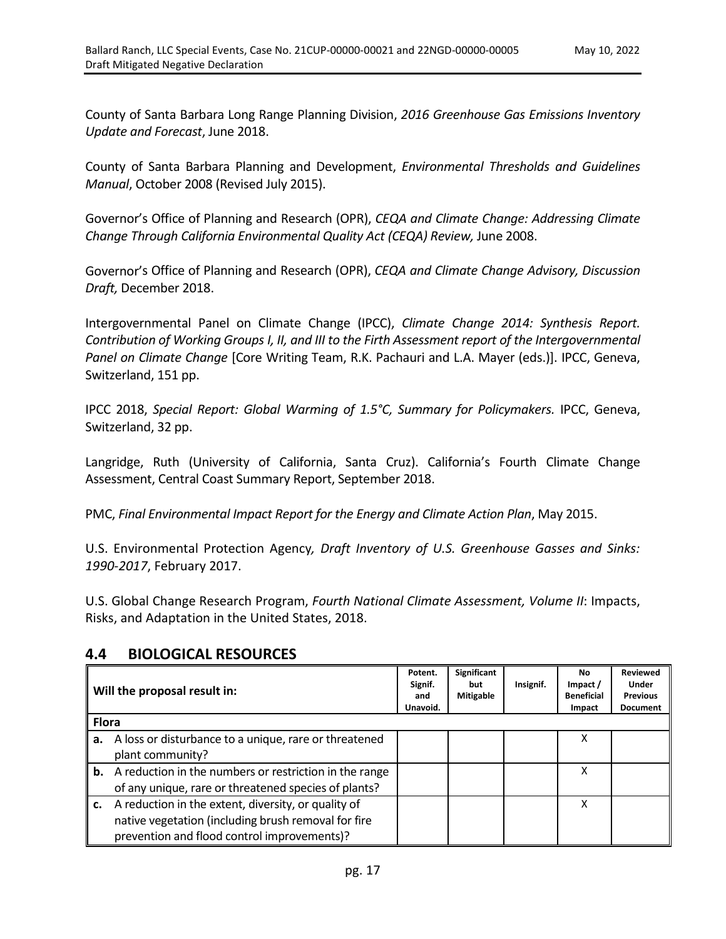County of Santa Barbara Long Range Planning Division, *2016 Greenhouse Gas Emissions Inventory Update and Forecast*, June 2018.

County of Santa Barbara Planning and Development, *Environmental Thresholds and Guidelines Manual*, October 2008 (Revised July 2015).

Governor's Office of Planning and Research (OPR), *CEQA and Climate Change: Addressing Climate Change Through California Environmental Quality Act (CEQA) Review,* June 2008.

Governor's Office of Planning and Research (OPR), *CEQA and Climate Change Advisory, Discussion Draft,* December 2018.

Intergovernmental Panel on Climate Change (IPCC), *Climate Change 2014: Synthesis Report. Contribution of Working Groups I, II, and III to the Firth Assessment report of the Intergovernmental Panel on Climate Change* [Core Writing Team, R.K. Pachauri and L.A. Mayer (eds.)]. IPCC, Geneva, Switzerland, 151 pp.

IPCC 2018, *Special Report: Global Warming of 1.5°C, Summary for Policymakers.* IPCC, Geneva, Switzerland, 32 pp.

Langridge, Ruth (University of California, Santa Cruz). California's Fourth Climate Change Assessment, Central Coast Summary Report, September 2018.

PMC, *Final Environmental Impact Report for the Energy and Climate Action Plan*, May 2015.

U.S. Environmental Protection Agency*, Draft Inventory of U.S. Greenhouse Gasses and Sinks: 1990-2017*, February 2017.

U.S. Global Change Research Program, *Fourth National Climate Assessment, Volume II*: Impacts, Risks, and Adaptation in the United States, 2018.

## **4.4 BIOLOGICAL RESOURCES**

| Will the proposal result in: |                                                        | Potent.<br>Signif.<br>and<br>Unavoid. | <b>Significant</b><br>but<br><b>Mitigable</b> | Insignif. | <b>No</b><br>Impact /<br><b>Beneficial</b><br>Impact | <b>Reviewed</b><br>Under<br><b>Previous</b><br><b>Document</b> |
|------------------------------|--------------------------------------------------------|---------------------------------------|-----------------------------------------------|-----------|------------------------------------------------------|----------------------------------------------------------------|
| <b>Flora</b>                 |                                                        |                                       |                                               |           |                                                      |                                                                |
| а.                           | A loss or disturbance to a unique, rare or threatened  |                                       |                                               |           | x                                                    |                                                                |
|                              | plant community?                                       |                                       |                                               |           |                                                      |                                                                |
| b.                           | A reduction in the numbers or restriction in the range |                                       |                                               |           | x                                                    |                                                                |
|                              | of any unique, rare or threatened species of plants?   |                                       |                                               |           |                                                      |                                                                |
|                              | c. A reduction in the extent, diversity, or quality of |                                       |                                               |           | X                                                    |                                                                |
|                              | native vegetation (including brush removal for fire    |                                       |                                               |           |                                                      |                                                                |
|                              | prevention and flood control improvements)?            |                                       |                                               |           |                                                      |                                                                |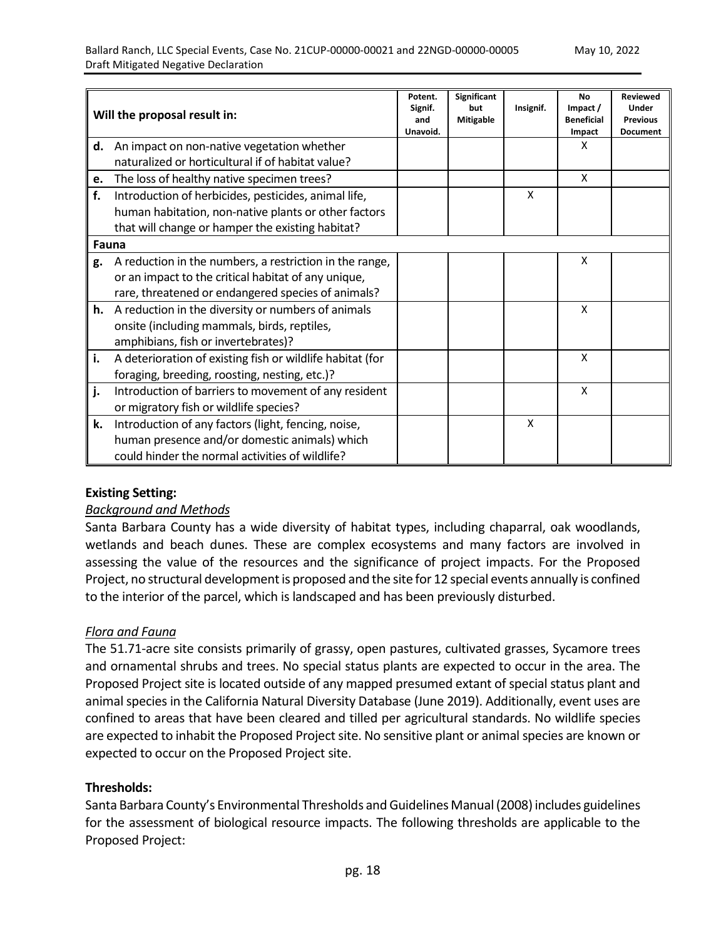|    | Will the proposal result in:                              | Potent.<br>Signif.<br>and<br>Unavoid. | <b>Significant</b><br>but<br><b>Mitigable</b> | Insignif. | <b>No</b><br>Impact /<br><b>Beneficial</b><br>Impact | <b>Reviewed</b><br>Under<br><b>Previous</b><br><b>Document</b> |
|----|-----------------------------------------------------------|---------------------------------------|-----------------------------------------------|-----------|------------------------------------------------------|----------------------------------------------------------------|
| d. | An impact on non-native vegetation whether                |                                       |                                               |           | X                                                    |                                                                |
|    | naturalized or horticultural if of habitat value?         |                                       |                                               |           |                                                      |                                                                |
| e. | The loss of healthy native specimen trees?                |                                       |                                               |           | X                                                    |                                                                |
| f. | Introduction of herbicides, pesticides, animal life,      |                                       |                                               | X         |                                                      |                                                                |
|    | human habitation, non-native plants or other factors      |                                       |                                               |           |                                                      |                                                                |
|    | that will change or hamper the existing habitat?          |                                       |                                               |           |                                                      |                                                                |
|    | Fauna                                                     |                                       |                                               |           |                                                      |                                                                |
| g. | A reduction in the numbers, a restriction in the range,   |                                       |                                               |           | X                                                    |                                                                |
|    | or an impact to the critical habitat of any unique,       |                                       |                                               |           |                                                      |                                                                |
|    | rare, threatened or endangered species of animals?        |                                       |                                               |           |                                                      |                                                                |
|    | h. A reduction in the diversity or numbers of animals     |                                       |                                               |           | X                                                    |                                                                |
|    | onsite (including mammals, birds, reptiles,               |                                       |                                               |           |                                                      |                                                                |
|    | amphibians, fish or invertebrates)?                       |                                       |                                               |           |                                                      |                                                                |
| i. | A deterioration of existing fish or wildlife habitat (for |                                       |                                               |           | X                                                    |                                                                |
|    | foraging, breeding, roosting, nesting, etc.)?             |                                       |                                               |           |                                                      |                                                                |
| j. | Introduction of barriers to movement of any resident      |                                       |                                               |           | X                                                    |                                                                |
|    | or migratory fish or wildlife species?                    |                                       |                                               |           |                                                      |                                                                |
| k. | Introduction of any factors (light, fencing, noise,       |                                       |                                               | X         |                                                      |                                                                |
|    | human presence and/or domestic animals) which             |                                       |                                               |           |                                                      |                                                                |
|    | could hinder the normal activities of wildlife?           |                                       |                                               |           |                                                      |                                                                |

## **Existing Setting:**

#### *Background and Methods*

Santa Barbara County has a wide diversity of habitat types, including chaparral, oak woodlands, wetlands and beach dunes. These are complex ecosystems and many factors are involved in assessing the value of the resources and the significance of project impacts. For the Proposed Project, no structural development is proposed and the site for 12 special events annually is confined to the interior of the parcel, which is landscaped and has been previously disturbed.

## *Flora and Fauna*

The 51.71-acre site consists primarily of grassy, open pastures, cultivated grasses, Sycamore trees and ornamental shrubs and trees. No special status plants are expected to occur in the area. The Proposed Project site is located outside of any mapped presumed extant of special status plant and animal species in the California Natural Diversity Database (June 2019). Additionally, event uses are confined to areas that have been cleared and tilled per agricultural standards. No wildlife species are expected to inhabit the Proposed Project site. No sensitive plant or animal species are known or expected to occur on the Proposed Project site.

#### **Thresholds:**

Santa Barbara County's Environmental Thresholds and Guidelines Manual (2008) includes guidelines for the assessment of biological resource impacts. The following thresholds are applicable to the Proposed Project: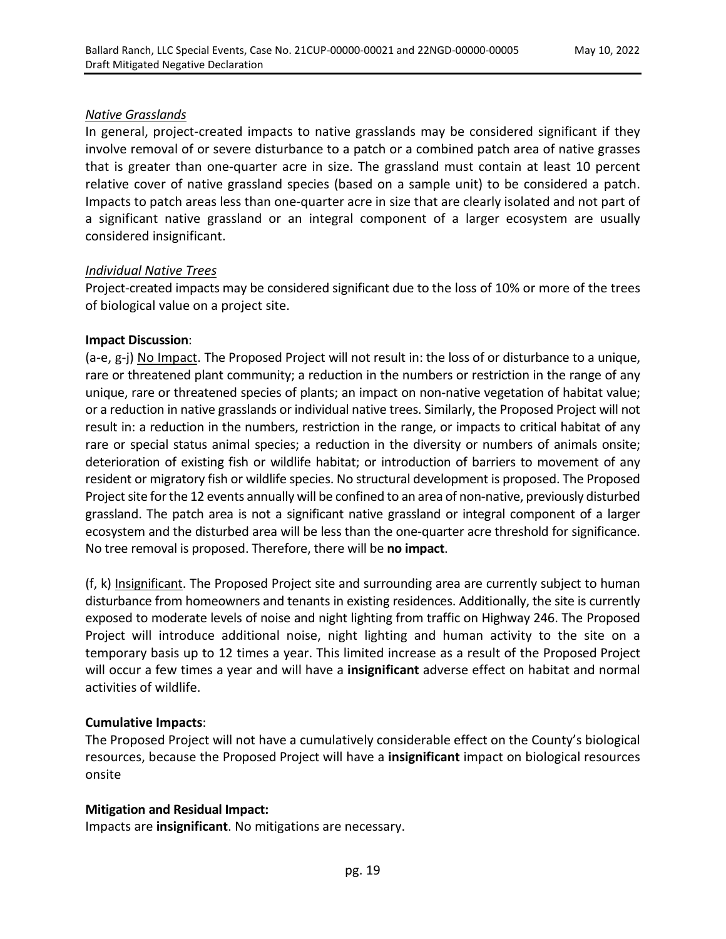#### *Native Grasslands*

In general, project-created impacts to native grasslands may be considered significant if they involve removal of or severe disturbance to a patch or a combined patch area of native grasses that is greater than one-quarter acre in size. The grassland must contain at least 10 percent relative cover of native grassland species (based on a sample unit) to be considered a patch. Impacts to patch areas less than one-quarter acre in size that are clearly isolated and not part of a significant native grassland or an integral component of a larger ecosystem are usually considered insignificant.

## *Individual Native Trees*

Project-created impacts may be considered significant due to the loss of 10% or more of the trees of biological value on a project site.

#### **Impact Discussion**:

(a-e, g-j) No Impact. The Proposed Project will not result in: the loss of or disturbance to a unique, rare or threatened plant community; a reduction in the numbers or restriction in the range of any unique, rare or threatened species of plants; an impact on non-native vegetation of habitat value; or a reduction in native grasslands or individual native trees. Similarly, the Proposed Project will not result in: a reduction in the numbers, restriction in the range, or impacts to critical habitat of any rare or special status animal species; a reduction in the diversity or numbers of animals onsite; deterioration of existing fish or wildlife habitat; or introduction of barriers to movement of any resident or migratory fish or wildlife species. No structural development is proposed. The Proposed Project site for the 12 events annually will be confined to an area of non-native, previously disturbed grassland. The patch area is not a significant native grassland or integral component of a larger ecosystem and the disturbed area will be less than the one-quarter acre threshold for significance. No tree removal is proposed. Therefore, there will be **no impact**.

(f, k) Insignificant. The Proposed Project site and surrounding area are currently subject to human disturbance from homeowners and tenants in existing residences. Additionally, the site is currently exposed to moderate levels of noise and night lighting from traffic on Highway 246. The Proposed Project will introduce additional noise, night lighting and human activity to the site on a temporary basis up to 12 times a year. This limited increase as a result of the Proposed Project will occur a few times a year and will have a **insignificant** adverse effect on habitat and normal activities of wildlife.

## **Cumulative Impacts**:

The Proposed Project will not have a cumulatively considerable effect on the County's biological resources, because the Proposed Project will have a **insignificant** impact on biological resources onsite

## **Mitigation and Residual Impact:**

Impacts are **insignificant**. No mitigations are necessary.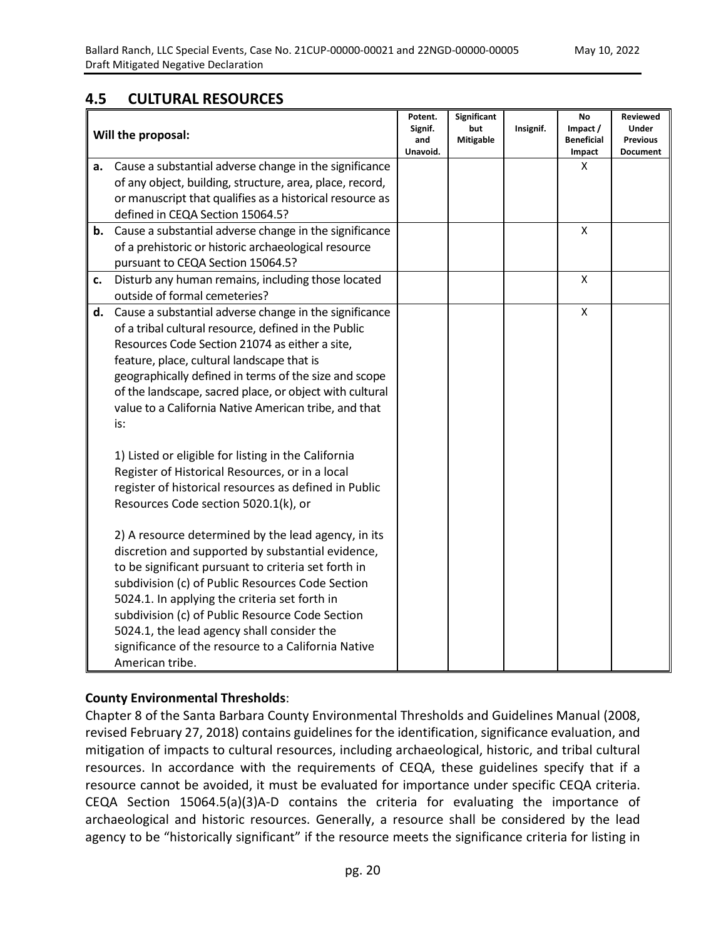# **4.5 CULTURAL RESOURCES**

|    | Will the proposal:                                                                  | Potent.<br>Signif.<br>and<br>Unavoid. | Significant<br>but<br><b>Mitigable</b> | Insignif. | No<br>Impact /<br><b>Beneficial</b><br>Impact | Reviewed<br>Under<br><b>Previous</b><br><b>Document</b> |
|----|-------------------------------------------------------------------------------------|---------------------------------------|----------------------------------------|-----------|-----------------------------------------------|---------------------------------------------------------|
| а. | Cause a substantial adverse change in the significance                              |                                       |                                        |           | X                                             |                                                         |
|    | of any object, building, structure, area, place, record,                            |                                       |                                        |           |                                               |                                                         |
|    | or manuscript that qualifies as a historical resource as                            |                                       |                                        |           |                                               |                                                         |
|    | defined in CEQA Section 15064.5?                                                    |                                       |                                        |           |                                               |                                                         |
| b. | Cause a substantial adverse change in the significance                              |                                       |                                        |           | X                                             |                                                         |
|    | of a prehistoric or historic archaeological resource                                |                                       |                                        |           |                                               |                                                         |
|    | pursuant to CEQA Section 15064.5?                                                   |                                       |                                        |           |                                               |                                                         |
| c. | Disturb any human remains, including those located<br>outside of formal cemeteries? |                                       |                                        |           | X                                             |                                                         |
| d. | Cause a substantial adverse change in the significance                              |                                       |                                        |           | X                                             |                                                         |
|    | of a tribal cultural resource, defined in the Public                                |                                       |                                        |           |                                               |                                                         |
|    | Resources Code Section 21074 as either a site,                                      |                                       |                                        |           |                                               |                                                         |
|    | feature, place, cultural landscape that is                                          |                                       |                                        |           |                                               |                                                         |
|    | geographically defined in terms of the size and scope                               |                                       |                                        |           |                                               |                                                         |
|    | of the landscape, sacred place, or object with cultural                             |                                       |                                        |           |                                               |                                                         |
|    | value to a California Native American tribe, and that                               |                                       |                                        |           |                                               |                                                         |
|    | is:                                                                                 |                                       |                                        |           |                                               |                                                         |
|    | 1) Listed or eligible for listing in the California                                 |                                       |                                        |           |                                               |                                                         |
|    | Register of Historical Resources, or in a local                                     |                                       |                                        |           |                                               |                                                         |
|    | register of historical resources as defined in Public                               |                                       |                                        |           |                                               |                                                         |
|    | Resources Code section 5020.1(k), or                                                |                                       |                                        |           |                                               |                                                         |
|    | 2) A resource determined by the lead agency, in its                                 |                                       |                                        |           |                                               |                                                         |
|    | discretion and supported by substantial evidence,                                   |                                       |                                        |           |                                               |                                                         |
|    | to be significant pursuant to criteria set forth in                                 |                                       |                                        |           |                                               |                                                         |
|    | subdivision (c) of Public Resources Code Section                                    |                                       |                                        |           |                                               |                                                         |
|    | 5024.1. In applying the criteria set forth in                                       |                                       |                                        |           |                                               |                                                         |
|    | subdivision (c) of Public Resource Code Section                                     |                                       |                                        |           |                                               |                                                         |
|    | 5024.1, the lead agency shall consider the                                          |                                       |                                        |           |                                               |                                                         |
|    | significance of the resource to a California Native                                 |                                       |                                        |           |                                               |                                                         |
|    | American tribe.                                                                     |                                       |                                        |           |                                               |                                                         |

## **County Environmental Thresholds**:

Chapter 8 of the Santa Barbara County Environmental Thresholds and Guidelines Manual (2008, revised February 27, 2018) contains guidelines for the identification, significance evaluation, and mitigation of impacts to cultural resources, including archaeological, historic, and tribal cultural resources. In accordance with the requirements of CEQA, these guidelines specify that if a resource cannot be avoided, it must be evaluated for importance under specific CEQA criteria. CEQA Section 15064.5(a)(3)A-D contains the criteria for evaluating the importance of archaeological and historic resources. Generally, a resource shall be considered by the lead agency to be "historically significant" if the resource meets the significance criteria for listing in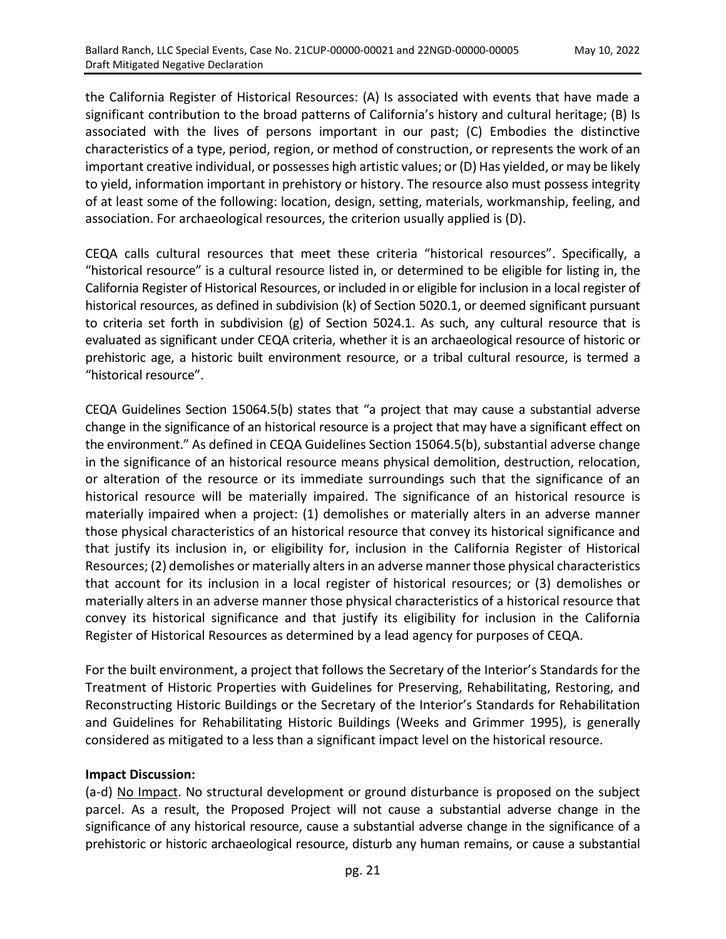the California Register of Historical Resources: (A) Is associated with events that have made a significant contribution to the broad patterns of California's history and cultural heritage; (B) Is associated with the lives of persons important in our past; (C) Embodies the distinctive characteristics of a type, period, region, or method of construction, or represents the work of an important creative individual, or possesses high artistic values; or (D) Has yielded, or may be likely to yield, information important in prehistory or history. The resource also must possess integrity of at least some of the following: location, design, setting, materials, workmanship, feeling, and association. For archaeological resources, the criterion usually applied is (D).

CEQA calls cultural resources that meet these criteria "historical resources". Specifically, a "historical resource" is a cultural resource listed in, or determined to be eligible for listing in, the California Register of Historical Resources, or included in or eligible for inclusion in a local register of historical resources, as defined in subdivision (k) of Section 5020.1, or deemed significant pursuant to criteria set forth in subdivision (g) of Section 5024.1. As such, any cultural resource that is evaluated as significant under CEQA criteria, whether it is an archaeological resource of historic or prehistoric age, a historic built environment resource, or a tribal cultural resource, is termed a "historical resource".

CEQA Guidelines Section 15064.5(b) states that "a project that may cause a substantial adverse change in the significance of an historical resource is a project that may have a significant effect on the environment." As defined in CEQA Guidelines Section 15064.5(b), substantial adverse change in the significance of an historical resource means physical demolition, destruction, relocation, or alteration of the resource or its immediate surroundings such that the significance of an historical resource will be materially impaired. The significance of an historical resource is materially impaired when a project: (1) demolishes or materially alters in an adverse manner those physical characteristics of an historical resource that convey its historical significance and that justify its inclusion in, or eligibility for, inclusion in the California Register of Historical Resources; (2) demolishes or materially alters in an adverse manner those physical characteristics that account for its inclusion in a local register of historical resources; or (3) demolishes or materially alters in an adverse manner those physical characteristics of a historical resource that convey its historical significance and that justify its eligibility for inclusion in the California Register of Historical Resources as determined by a lead agency for purposes of CEQA.

For the built environment, a project that follows the Secretary of the Interior's Standards for the Treatment of Historic Properties with Guidelines for Preserving, Rehabilitating, Restoring, and Reconstructing Historic Buildings or the Secretary of the Interior's Standards for Rehabilitation and Guidelines for Rehabilitating Historic Buildings (Weeks and Grimmer 1995), is generally considered as mitigated to a less than a significant impact level on the historical resource.

## **Impact Discussion:**

(a-d) No Impact. No structural development or ground disturbance is proposed on the subject parcel. As a result, the Proposed Project will not cause a substantial adverse change in the significance of any historical resource, cause a substantial adverse change in the significance of a prehistoric or historic archaeological resource, disturb any human remains, or cause a substantial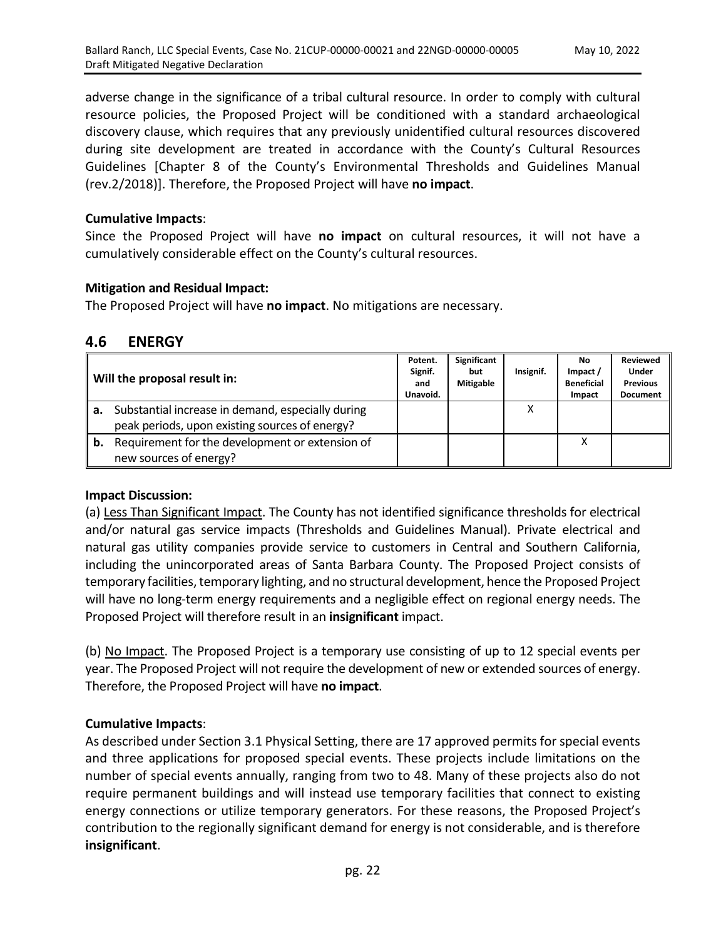adverse change in the significance of a tribal cultural resource. In order to comply with cultural resource policies, the Proposed Project will be conditioned with a standard archaeological discovery clause, which requires that any previously unidentified cultural resources discovered during site development are treated in accordance with the County's Cultural Resources Guidelines [Chapter 8 of the County's Environmental Thresholds and Guidelines Manual (rev.2/2018)]. Therefore, the Proposed Project will have **no impact**.

## **Cumulative Impacts**:

Since the Proposed Project will have **no impact** on cultural resources, it will not have a cumulatively considerable effect on the County's cultural resources.

## **Mitigation and Residual Impact:**

The Proposed Project will have **no impact**. No mitigations are necessary.

## **4.6 ENERGY**

|    | Will the proposal result in:                      | Potent.<br>Signif.<br>and<br>Unavoid. | Significant<br>but<br><b>Mitigable</b> | Insignif. | No.<br>Impact /<br><b>Beneficial</b><br>Impact | <b>Reviewed</b><br>Under<br><b>Previous</b><br><b>Document</b> |
|----|---------------------------------------------------|---------------------------------------|----------------------------------------|-----------|------------------------------------------------|----------------------------------------------------------------|
| а. | Substantial increase in demand, especially during |                                       |                                        | v         |                                                |                                                                |
|    | peak periods, upon existing sources of energy?    |                                       |                                        |           |                                                |                                                                |
| b. | Requirement for the development or extension of   |                                       |                                        |           | Χ                                              |                                                                |
|    | new sources of energy?                            |                                       |                                        |           |                                                |                                                                |

## **Impact Discussion:**

(a) Less Than Significant Impact. The County has not identified significance thresholds for electrical and/or natural gas service impacts (Thresholds and Guidelines Manual). Private electrical and natural gas utility companies provide service to customers in Central and Southern California, including the unincorporated areas of Santa Barbara County. The Proposed Project consists of temporary facilities, temporary lighting, and no structural development, hence the Proposed Project will have no long-term energy requirements and a negligible effect on regional energy needs. The Proposed Project will therefore result in an **insignificant** impact.

(b) No Impact. The Proposed Project is a temporary use consisting of up to 12 special events per year. The Proposed Project will not require the development of new or extended sources of energy. Therefore, the Proposed Project will have **no impact**.

## **Cumulative Impacts**:

As described under Section 3.1 Physical Setting, there are 17 approved permits for special events and three applications for proposed special events. These projects include limitations on the number of special events annually, ranging from two to 48. Many of these projects also do not require permanent buildings and will instead use temporary facilities that connect to existing energy connections or utilize temporary generators. For these reasons, the Proposed Project's contribution to the regionally significant demand for energy is not considerable, and is therefore **insignificant**.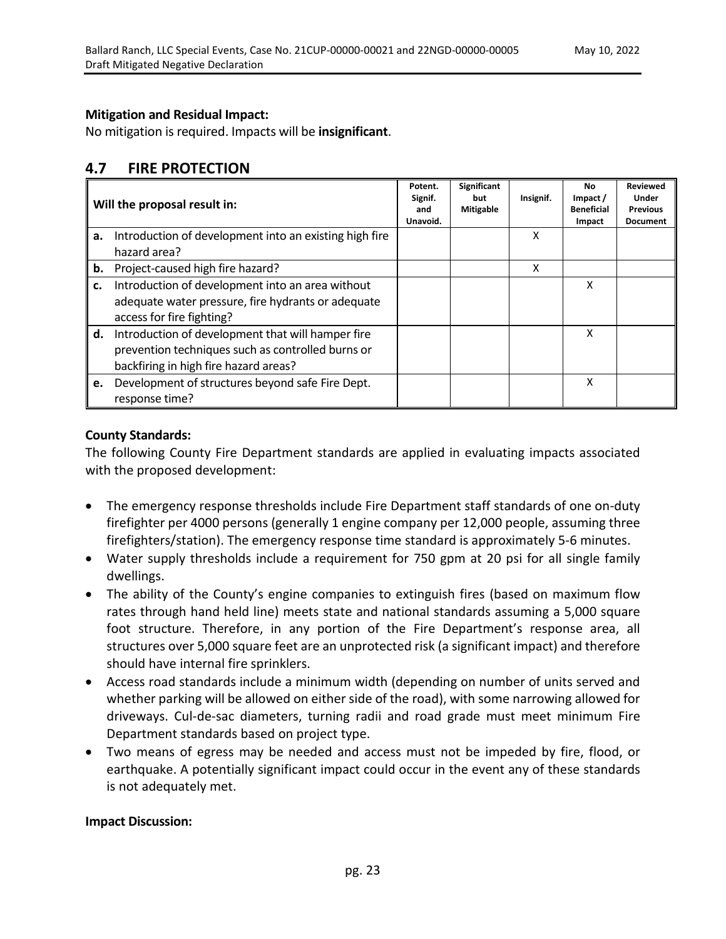## **Mitigation and Residual Impact:**

No mitigation is required. Impacts will be **insignificant**.

# **4.7 FIRE PROTECTION**

|    | Will the proposal result in:                           | Potent.<br>Signif.<br>and<br>Unavoid. | Significant<br>but<br><b>Mitigable</b> | Insignif. | No<br>Impact /<br><b>Beneficial</b><br>Impact | <b>Reviewed</b><br><b>Under</b><br><b>Previous</b><br><b>Document</b> |
|----|--------------------------------------------------------|---------------------------------------|----------------------------------------|-----------|-----------------------------------------------|-----------------------------------------------------------------------|
| a. | Introduction of development into an existing high fire |                                       |                                        | X         |                                               |                                                                       |
|    | hazard area?                                           |                                       |                                        |           |                                               |                                                                       |
| b. | Project-caused high fire hazard?                       |                                       |                                        | x         |                                               |                                                                       |
| c. | Introduction of development into an area without       |                                       |                                        |           | x                                             |                                                                       |
|    | adequate water pressure, fire hydrants or adequate     |                                       |                                        |           |                                               |                                                                       |
|    | access for fire fighting?                              |                                       |                                        |           |                                               |                                                                       |
| d. | Introduction of development that will hamper fire      |                                       |                                        |           | x                                             |                                                                       |
|    | prevention techniques such as controlled burns or      |                                       |                                        |           |                                               |                                                                       |
|    | backfiring in high fire hazard areas?                  |                                       |                                        |           |                                               |                                                                       |
| e. | Development of structures beyond safe Fire Dept.       |                                       |                                        |           | X                                             |                                                                       |
|    | response time?                                         |                                       |                                        |           |                                               |                                                                       |

## **County Standards:**

The following County Fire Department standards are applied in evaluating impacts associated with the proposed development:

- The emergency response thresholds include Fire Department staff standards of one on-duty firefighter per 4000 persons (generally 1 engine company per 12,000 people, assuming three firefighters/station). The emergency response time standard is approximately 5-6 minutes.
- Water supply thresholds include a requirement for 750 gpm at 20 psi for all single family dwellings.
- The ability of the County's engine companies to extinguish fires (based on maximum flow rates through hand held line) meets state and national standards assuming a 5,000 square foot structure. Therefore, in any portion of the Fire Department's response area, all structures over 5,000 square feet are an unprotected risk (a significant impact) and therefore should have internal fire sprinklers.
- Access road standards include a minimum width (depending on number of units served and whether parking will be allowed on either side of the road), with some narrowing allowed for driveways. Cul-de-sac diameters, turning radii and road grade must meet minimum Fire Department standards based on project type.
- Two means of egress may be needed and access must not be impeded by fire, flood, or earthquake. A potentially significant impact could occur in the event any of these standards is not adequately met.

#### **Impact Discussion:**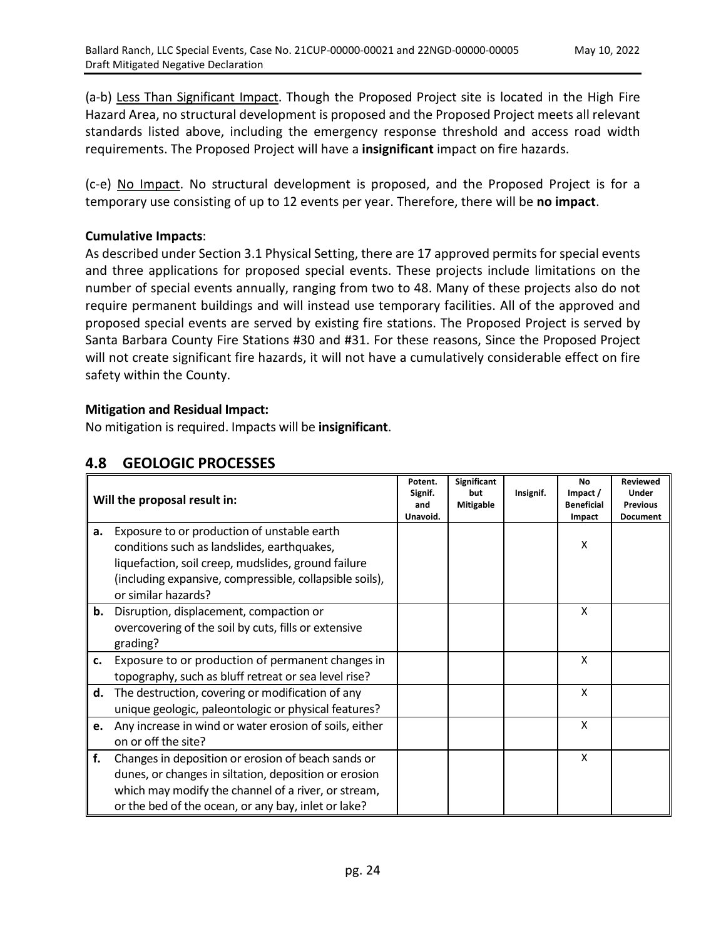(a-b) Less Than Significant Impact. Though the Proposed Project site is located in the High Fire Hazard Area, no structural development is proposed and the Proposed Project meets all relevant standards listed above, including the emergency response threshold and access road width requirements. The Proposed Project will have a **insignificant** impact on fire hazards.

(c-e) No Impact. No structural development is proposed, and the Proposed Project is for a temporary use consisting of up to 12 events per year. Therefore, there will be **no impact**.

## **Cumulative Impacts**:

As described under Section 3.1 Physical Setting, there are 17 approved permits for special events and three applications for proposed special events. These projects include limitations on the number of special events annually, ranging from two to 48. Many of these projects also do not require permanent buildings and will instead use temporary facilities. All of the approved and proposed special events are served by existing fire stations. The Proposed Project is served by Santa Barbara County Fire Stations #30 and #31. For these reasons, Since the Proposed Project will not create significant fire hazards, it will not have a cumulatively considerable effect on fire safety within the County.

## **Mitigation and Residual Impact:**

No mitigation is required. Impacts will be **insignificant**.

# **4.8 GEOLOGIC PROCESSES**

|    | Will the proposal result in:                                                                                                                                                                                                        | Potent.<br>Signif.<br>and<br>Unavoid. | <b>Significant</b><br>but<br><b>Mitigable</b> | Insignif. | <b>No</b><br>Impact /<br><b>Beneficial</b><br>Impact | <b>Reviewed</b><br><b>Under</b><br><b>Previous</b><br><b>Document</b> |
|----|-------------------------------------------------------------------------------------------------------------------------------------------------------------------------------------------------------------------------------------|---------------------------------------|-----------------------------------------------|-----------|------------------------------------------------------|-----------------------------------------------------------------------|
| а. | Exposure to or production of unstable earth<br>conditions such as landslides, earthquakes,<br>liquefaction, soil creep, mudslides, ground failure<br>(including expansive, compressible, collapsible soils),<br>or similar hazards? |                                       |                                               |           | X                                                    |                                                                       |
| b. | Disruption, displacement, compaction or<br>overcovering of the soil by cuts, fills or extensive<br>grading?                                                                                                                         |                                       |                                               |           | X                                                    |                                                                       |
| c. | Exposure to or production of permanent changes in<br>topography, such as bluff retreat or sea level rise?                                                                                                                           |                                       |                                               |           | X                                                    |                                                                       |
| d. | The destruction, covering or modification of any<br>unique geologic, paleontologic or physical features?                                                                                                                            |                                       |                                               |           | X                                                    |                                                                       |
| e. | Any increase in wind or water erosion of soils, either<br>on or off the site?                                                                                                                                                       |                                       |                                               |           | X                                                    |                                                                       |
| f. | Changes in deposition or erosion of beach sands or<br>dunes, or changes in siltation, deposition or erosion<br>which may modify the channel of a river, or stream,<br>or the bed of the ocean, or any bay, inlet or lake?           |                                       |                                               |           | X                                                    |                                                                       |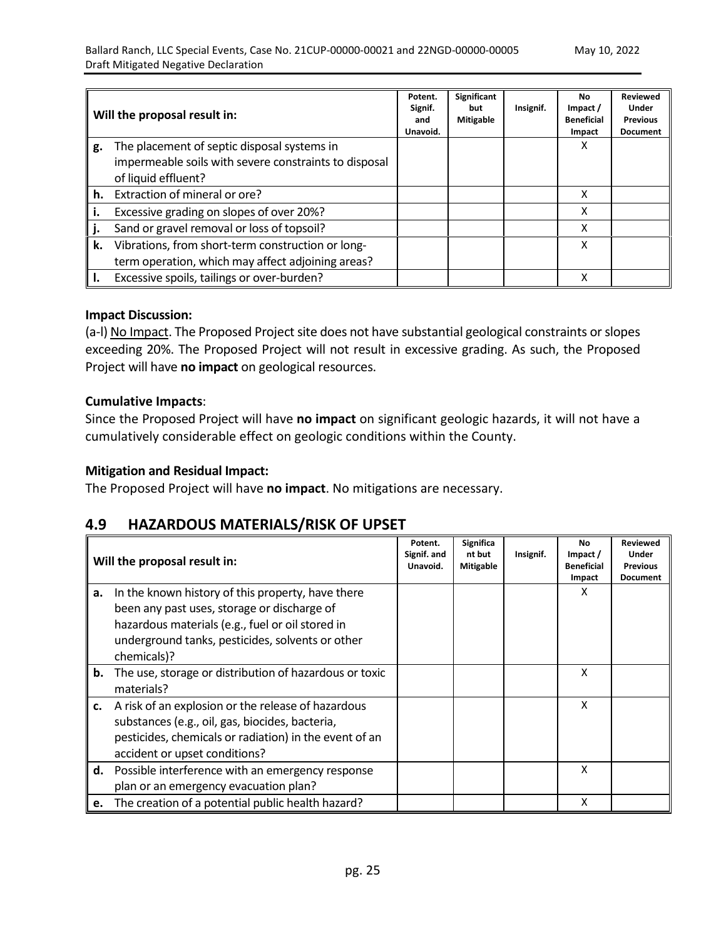|    | Will the proposal result in:                          | Potent.<br>Signif.<br>and<br>Unavoid. | <b>Significant</b><br>but<br>Mitigable | Insignif. | No<br>Impact /<br><b>Beneficial</b><br>Impact | <b>Reviewed</b><br>Under<br><b>Previous</b><br><b>Document</b> |
|----|-------------------------------------------------------|---------------------------------------|----------------------------------------|-----------|-----------------------------------------------|----------------------------------------------------------------|
| g. | The placement of septic disposal systems in           |                                       |                                        |           | x                                             |                                                                |
|    | impermeable soils with severe constraints to disposal |                                       |                                        |           |                                               |                                                                |
|    | of liquid effluent?                                   |                                       |                                        |           |                                               |                                                                |
| h. | Extraction of mineral or ore?                         |                                       |                                        |           | X                                             |                                                                |
|    | Excessive grading on slopes of over 20%?              |                                       |                                        |           | x                                             |                                                                |
|    | Sand or gravel removal or loss of topsoil?            |                                       |                                        |           | x                                             |                                                                |
| k. | Vibrations, from short-term construction or long-     |                                       |                                        |           | x                                             |                                                                |
|    | term operation, which may affect adjoining areas?     |                                       |                                        |           |                                               |                                                                |
|    | Excessive spoils, tailings or over-burden?            |                                       |                                        |           | Χ                                             |                                                                |

#### **Impact Discussion:**

(a-l) No Impact. The Proposed Project site does not have substantial geological constraints or slopes exceeding 20%. The Proposed Project will not result in excessive grading. As such, the Proposed Project will have **no impact** on geological resources.

#### **Cumulative Impacts**:

Since the Proposed Project will have **no impact** on significant geologic hazards, it will not have a cumulatively considerable effect on geologic conditions within the County.

#### **Mitigation and Residual Impact:**

The Proposed Project will have **no impact**. No mitigations are necessary.

## **4.9 HAZARDOUS MATERIALS/RISK OF UPSET**

|    | Will the proposal result in:                                                                                                                                                                                            | Potent.<br>Signif. and<br>Unavoid. | Significa<br>nt but<br><b>Mitigable</b> | Insignif. | No<br>Impact /<br><b>Beneficial</b><br>Impact | <b>Reviewed</b><br><b>Under</b><br><b>Previous</b><br><b>Document</b> |
|----|-------------------------------------------------------------------------------------------------------------------------------------------------------------------------------------------------------------------------|------------------------------------|-----------------------------------------|-----------|-----------------------------------------------|-----------------------------------------------------------------------|
| а. | In the known history of this property, have there<br>been any past uses, storage or discharge of<br>hazardous materials (e.g., fuel or oil stored in<br>underground tanks, pesticides, solvents or other<br>chemicals)? |                                    |                                         |           | X                                             |                                                                       |
| b. | The use, storage or distribution of hazardous or toxic<br>materials?                                                                                                                                                    |                                    |                                         |           | X                                             |                                                                       |
| c. | A risk of an explosion or the release of hazardous<br>substances (e.g., oil, gas, biocides, bacteria,<br>pesticides, chemicals or radiation) in the event of an<br>accident or upset conditions?                        |                                    |                                         |           | X                                             |                                                                       |
| d. | Possible interference with an emergency response<br>plan or an emergency evacuation plan?                                                                                                                               |                                    |                                         |           | x                                             |                                                                       |
| e. | The creation of a potential public health hazard?                                                                                                                                                                       |                                    |                                         |           | X                                             |                                                                       |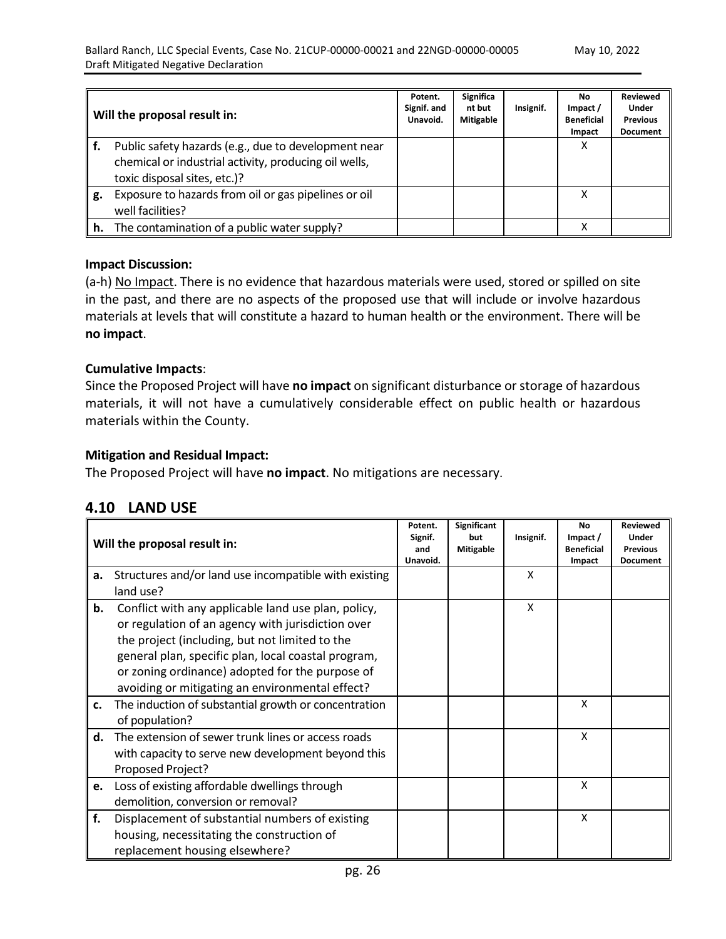|    | Will the proposal result in:                                                                                                                  | Potent.<br>Signif. and<br>Unavoid. | Significa<br>nt but<br><b>Mitigable</b> | Insignif. | No.<br>Impact /<br><b>Beneficial</b><br>Impact | <b>Reviewed</b><br><b>Under</b><br><b>Previous</b><br><b>Document</b> |
|----|-----------------------------------------------------------------------------------------------------------------------------------------------|------------------------------------|-----------------------------------------|-----------|------------------------------------------------|-----------------------------------------------------------------------|
|    | Public safety hazards (e.g., due to development near<br>chemical or industrial activity, producing oil wells,<br>toxic disposal sites, etc.)? |                                    |                                         |           | X                                              |                                                                       |
| g. | Exposure to hazards from oil or gas pipelines or oil<br>well facilities?                                                                      |                                    |                                         |           | x                                              |                                                                       |
| h. | The contamination of a public water supply?                                                                                                   |                                    |                                         |           | x                                              |                                                                       |

#### **Impact Discussion:**

(a-h) No Impact. There is no evidence that hazardous materials were used, stored or spilled on site in the past, and there are no aspects of the proposed use that will include or involve hazardous materials at levels that will constitute a hazard to human health or the environment. There will be **no impact**.

#### **Cumulative Impacts**:

Since the Proposed Project will have **no impact** on significant disturbance or storage of hazardous materials, it will not have a cumulatively considerable effect on public health or hazardous materials within the County.

#### **Mitigation and Residual Impact:**

The Proposed Project will have **no impact**. No mitigations are necessary.

## **4.10 LAND USE**

|    | Will the proposal result in:                          | Potent.<br>Signif.<br>and<br>Unavoid. | <b>Significant</b><br>but<br><b>Mitigable</b> | Insignif. | <b>No</b><br>Impact /<br><b>Beneficial</b><br>Impact | <b>Reviewed</b><br>Under<br><b>Previous</b><br><b>Document</b> |
|----|-------------------------------------------------------|---------------------------------------|-----------------------------------------------|-----------|------------------------------------------------------|----------------------------------------------------------------|
| a. | Structures and/or land use incompatible with existing |                                       |                                               | X         |                                                      |                                                                |
|    | land use?                                             |                                       |                                               |           |                                                      |                                                                |
| b. | Conflict with any applicable land use plan, policy,   |                                       |                                               | X         |                                                      |                                                                |
|    | or regulation of an agency with jurisdiction over     |                                       |                                               |           |                                                      |                                                                |
|    | the project (including, but not limited to the        |                                       |                                               |           |                                                      |                                                                |
|    | general plan, specific plan, local coastal program,   |                                       |                                               |           |                                                      |                                                                |
|    | or zoning ordinance) adopted for the purpose of       |                                       |                                               |           |                                                      |                                                                |
|    | avoiding or mitigating an environmental effect?       |                                       |                                               |           |                                                      |                                                                |
| c. | The induction of substantial growth or concentration  |                                       |                                               |           | X                                                    |                                                                |
|    | of population?                                        |                                       |                                               |           |                                                      |                                                                |
| d. | The extension of sewer trunk lines or access roads    |                                       |                                               |           | X                                                    |                                                                |
|    | with capacity to serve new development beyond this    |                                       |                                               |           |                                                      |                                                                |
|    | Proposed Project?                                     |                                       |                                               |           |                                                      |                                                                |
| e. | Loss of existing affordable dwellings through         |                                       |                                               |           | X                                                    |                                                                |
|    | demolition, conversion or removal?                    |                                       |                                               |           |                                                      |                                                                |
| f. | Displacement of substantial numbers of existing       |                                       |                                               |           | X                                                    |                                                                |
|    | housing, necessitating the construction of            |                                       |                                               |           |                                                      |                                                                |
|    | replacement housing elsewhere?                        |                                       |                                               |           |                                                      |                                                                |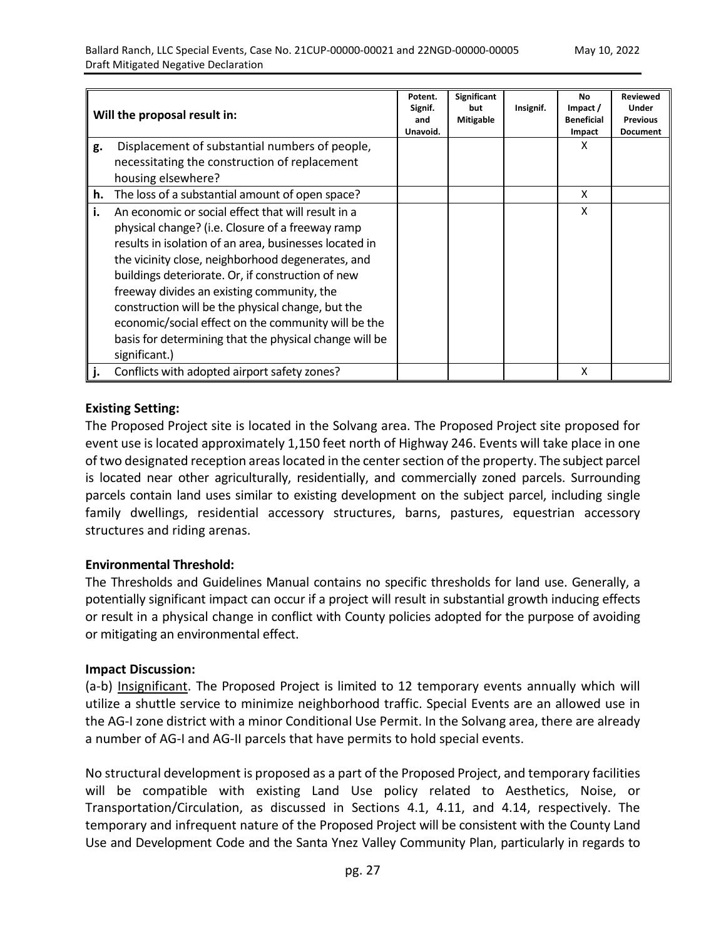|    | Will the proposal result in:                           | Potent.<br>Signif.<br>and<br>Unavoid. | Significant<br>but<br>Mitigable | Insignif. | No<br>Impact /<br><b>Beneficial</b><br>Impact | <b>Reviewed</b><br>Under<br><b>Previous</b><br><b>Document</b> |
|----|--------------------------------------------------------|---------------------------------------|---------------------------------|-----------|-----------------------------------------------|----------------------------------------------------------------|
| g. | Displacement of substantial numbers of people,         |                                       |                                 |           | X                                             |                                                                |
|    | necessitating the construction of replacement          |                                       |                                 |           |                                               |                                                                |
|    | housing elsewhere?                                     |                                       |                                 |           |                                               |                                                                |
| h. | The loss of a substantial amount of open space?        |                                       |                                 |           | X                                             |                                                                |
| i. | An economic or social effect that will result in a     |                                       |                                 |           | X                                             |                                                                |
|    | physical change? (i.e. Closure of a freeway ramp       |                                       |                                 |           |                                               |                                                                |
|    | results in isolation of an area, businesses located in |                                       |                                 |           |                                               |                                                                |
|    | the vicinity close, neighborhood degenerates, and      |                                       |                                 |           |                                               |                                                                |
|    | buildings deteriorate. Or, if construction of new      |                                       |                                 |           |                                               |                                                                |
|    | freeway divides an existing community, the             |                                       |                                 |           |                                               |                                                                |
|    | construction will be the physical change, but the      |                                       |                                 |           |                                               |                                                                |
|    | economic/social effect on the community will be the    |                                       |                                 |           |                                               |                                                                |
|    | basis for determining that the physical change will be |                                       |                                 |           |                                               |                                                                |
|    | significant.)                                          |                                       |                                 |           |                                               |                                                                |
|    | Conflicts with adopted airport safety zones?           |                                       |                                 |           | X                                             |                                                                |

## **Existing Setting:**

The Proposed Project site is located in the Solvang area. The Proposed Project site proposed for event use is located approximately 1,150 feet north of Highway 246. Events will take place in one of two designated reception areaslocated in the centersection of the property. The subject parcel is located near other agriculturally, residentially, and commercially zoned parcels. Surrounding parcels contain land uses similar to existing development on the subject parcel, including single family dwellings, residential accessory structures, barns, pastures, equestrian accessory structures and riding arenas.

## **Environmental Threshold:**

The Thresholds and Guidelines Manual contains no specific thresholds for land use. Generally, a potentially significant impact can occur if a project will result in substantial growth inducing effects or result in a physical change in conflict with County policies adopted for the purpose of avoiding or mitigating an environmental effect.

#### **Impact Discussion:**

(a-b) Insignificant. The Proposed Project is limited to 12 temporary events annually which will utilize a shuttle service to minimize neighborhood traffic. Special Events are an allowed use in the AG-I zone district with a minor Conditional Use Permit. In the Solvang area, there are already a number of AG-I and AG-II parcels that have permits to hold special events.

No structural development is proposed as a part of the Proposed Project, and temporary facilities will be compatible with existing Land Use policy related to Aesthetics, Noise, or Transportation/Circulation, as discussed in Sections 4.1, 4.11, and 4.14, respectively. The temporary and infrequent nature of the Proposed Project will be consistent with the County Land Use and Development Code and the Santa Ynez Valley Community Plan, particularly in regards to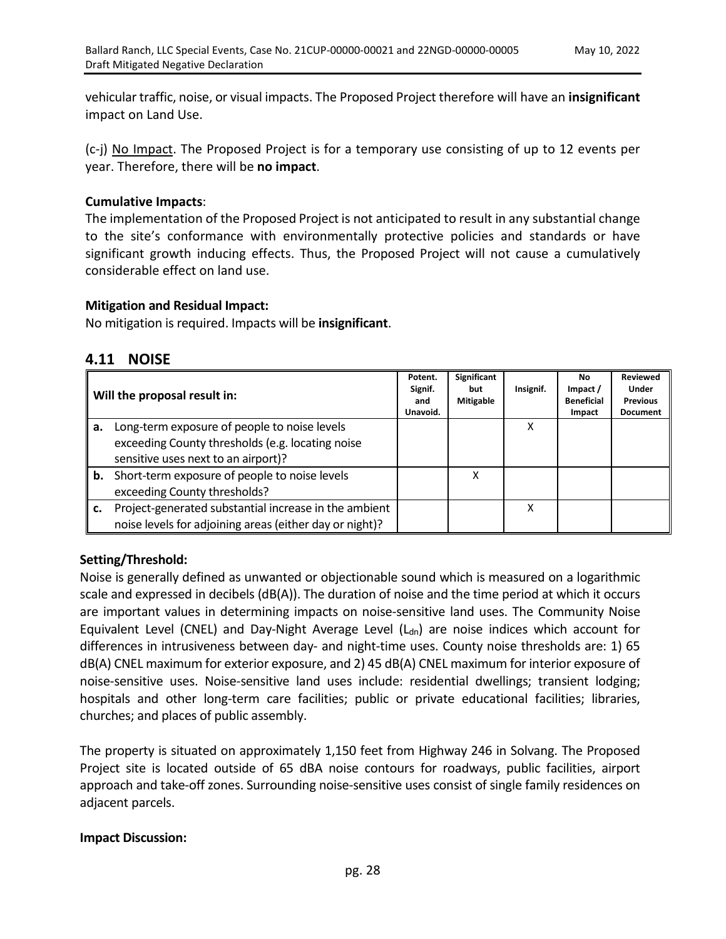vehicular traffic, noise, or visual impacts. The Proposed Project therefore will have an **insignificant** impact on Land Use.

(c-j) No Impact. The Proposed Project is for a temporary use consisting of up to 12 events per year. Therefore, there will be **no impact**.

## **Cumulative Impacts**:

The implementation of the Proposed Project is not anticipated to result in any substantial change to the site's conformance with environmentally protective policies and standards or have significant growth inducing effects. Thus, the Proposed Project will not cause a cumulatively considerable effect on land use.

#### **Mitigation and Residual Impact:**

No mitigation is required. Impacts will be **insignificant**.

## **4.11 NOISE**

|    | Will the proposal result in:                                                                                                            | Potent.<br>Signif.<br>and<br>Unavoid. | Significant<br>but<br><b>Mitigable</b> | Insignif. | <b>No</b><br>Impact /<br><b>Beneficial</b><br>Impact | <b>Reviewed</b><br><b>Under</b><br><b>Previous</b><br><b>Document</b> |
|----|-----------------------------------------------------------------------------------------------------------------------------------------|---------------------------------------|----------------------------------------|-----------|------------------------------------------------------|-----------------------------------------------------------------------|
| а. | Long-term exposure of people to noise levels<br>exceeding County thresholds (e.g. locating noise<br>sensitive uses next to an airport)? |                                       |                                        | x         |                                                      |                                                                       |
| b. | Short-term exposure of people to noise levels<br>exceeding County thresholds?                                                           |                                       | x                                      |           |                                                      |                                                                       |
| c. | Project-generated substantial increase in the ambient<br>noise levels for adjoining areas (either day or night)?                        |                                       |                                        | x         |                                                      |                                                                       |

## **Setting/Threshold:**

Noise is generally defined as unwanted or objectionable sound which is measured on a logarithmic scale and expressed in decibels (dB(A)). The duration of noise and the time period at which it occurs are important values in determining impacts on noise-sensitive land uses. The Community Noise Equivalent Level (CNEL) and Day-Night Average Level  $(L_{dn})$  are noise indices which account for differences in intrusiveness between day- and night-time uses. County noise thresholds are: 1) 65 dB(A) CNEL maximum for exterior exposure, and 2) 45 dB(A) CNEL maximum for interior exposure of noise-sensitive uses. Noise-sensitive land uses include: residential dwellings; transient lodging; hospitals and other long-term care facilities; public or private educational facilities; libraries, churches; and places of public assembly.

The property is situated on approximately 1,150 feet from Highway 246 in Solvang. The Proposed Project site is located outside of 65 dBA noise contours for roadways, public facilities, airport approach and take-off zones. Surrounding noise-sensitive uses consist of single family residences on adjacent parcels.

#### **Impact Discussion:**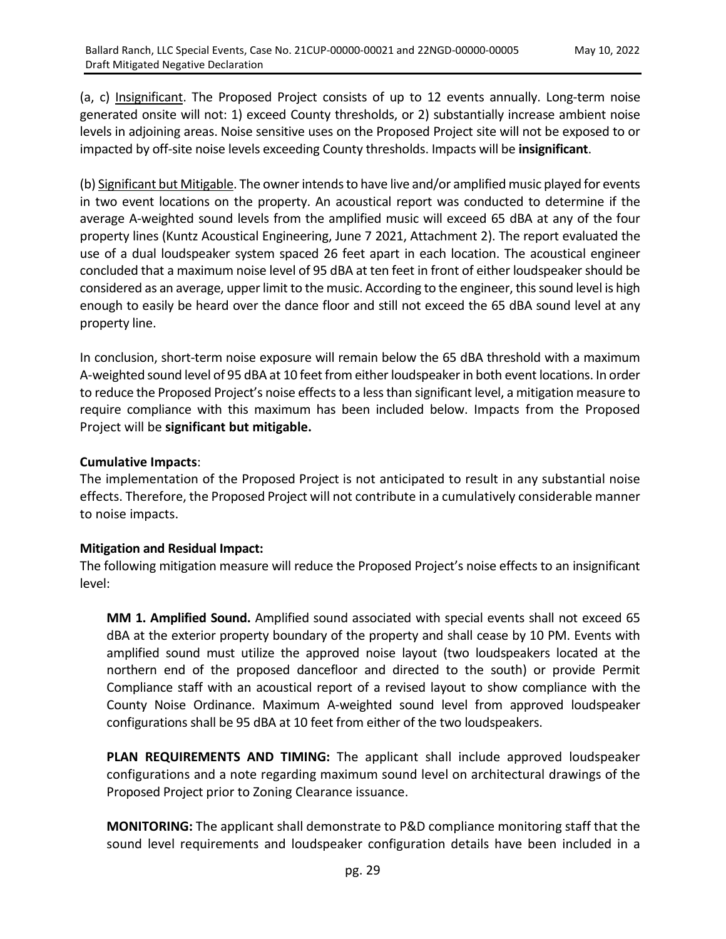(a, c) Insignificant. The Proposed Project consists of up to 12 events annually. Long-term noise generated onsite will not: 1) exceed County thresholds, or 2) substantially increase ambient noise levels in adjoining areas. Noise sensitive uses on the Proposed Project site will not be exposed to or impacted by off-site noise levels exceeding County thresholds. Impacts will be **insignificant**.

(b) Significant but Mitigable. The owner intends to have live and/or amplified music played for events in two event locations on the property. An acoustical report was conducted to determine if the average A-weighted sound levels from the amplified music will exceed 65 dBA at any of the four property lines (Kuntz Acoustical Engineering, June 7 2021, Attachment 2). The report evaluated the use of a dual loudspeaker system spaced 26 feet apart in each location. The acoustical engineer concluded that a maximum noise level of 95 dBA at ten feet in front of either loudspeaker should be considered as an average, upper limit to the music. According to the engineer, this sound level is high enough to easily be heard over the dance floor and still not exceed the 65 dBA sound level at any property line.

In conclusion, short-term noise exposure will remain below the 65 dBA threshold with a maximum A-weighted sound level of 95 dBA at 10 feet from either loudspeakerin both event locations. In order to reduce the Proposed Project's noise effects to a less than significant level, a mitigation measure to require compliance with this maximum has been included below. Impacts from the Proposed Project will be **significant but mitigable.**

## **Cumulative Impacts**:

The implementation of the Proposed Project is not anticipated to result in any substantial noise effects. Therefore, the Proposed Project will not contribute in a cumulatively considerable manner to noise impacts.

#### **Mitigation and Residual Impact:**

The following mitigation measure will reduce the Proposed Project's noise effects to an insignificant level:

**MM 1. Amplified Sound.** Amplified sound associated with special events shall not exceed 65 dBA at the exterior property boundary of the property and shall cease by 10 PM. Events with amplified sound must utilize the approved noise layout (two loudspeakers located at the northern end of the proposed dancefloor and directed to the south) or provide Permit Compliance staff with an acoustical report of a revised layout to show compliance with the County Noise Ordinance. Maximum A-weighted sound level from approved loudspeaker configurations shall be 95 dBA at 10 feet from either of the two loudspeakers.

**PLAN REQUIREMENTS AND TIMING:** The applicant shall include approved loudspeaker configurations and a note regarding maximum sound level on architectural drawings of the Proposed Project prior to Zoning Clearance issuance.

**MONITORING:** The applicant shall demonstrate to P&D compliance monitoring staff that the sound level requirements and loudspeaker configuration details have been included in a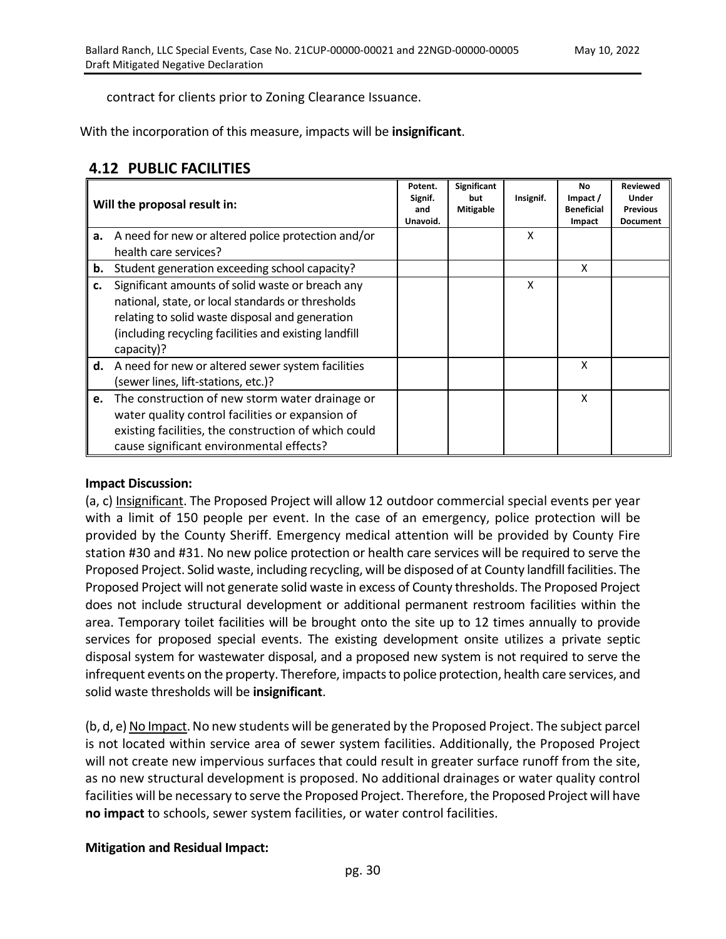contract for clients prior to Zoning Clearance Issuance.

With the incorporation of this measure, impacts will be **insignificant**.

# **4.12 PUBLIC FACILITIES**

|    | Will the proposal result in:                                                                                                                                                                                                    | Potent.<br>Signif.<br>and<br>Unavoid. | Significant<br>but<br><b>Mitigable</b> | Insignif. | <b>No</b><br>Impact /<br><b>Beneficial</b><br>Impact | <b>Reviewed</b><br>Under<br><b>Previous</b><br><b>Document</b> |
|----|---------------------------------------------------------------------------------------------------------------------------------------------------------------------------------------------------------------------------------|---------------------------------------|----------------------------------------|-----------|------------------------------------------------------|----------------------------------------------------------------|
| a. | A need for new or altered police protection and/or<br>health care services?                                                                                                                                                     |                                       |                                        | X         |                                                      |                                                                |
| b. | Student generation exceeding school capacity?                                                                                                                                                                                   |                                       |                                        |           | X                                                    |                                                                |
| c. | Significant amounts of solid waste or breach any<br>national, state, or local standards or thresholds<br>relating to solid waste disposal and generation<br>(including recycling facilities and existing landfill<br>capacity)? |                                       |                                        | X         |                                                      |                                                                |
| d. | A need for new or altered sewer system facilities<br>(sewer lines, lift-stations, etc.)?                                                                                                                                        |                                       |                                        |           | X                                                    |                                                                |
| e. | The construction of new storm water drainage or<br>water quality control facilities or expansion of<br>existing facilities, the construction of which could<br>cause significant environmental effects?                         |                                       |                                        |           | X                                                    |                                                                |

#### **Impact Discussion:**

(a, c) Insignificant. The Proposed Project will allow 12 outdoor commercial special events per year with a limit of 150 people per event. In the case of an emergency, police protection will be provided by the County Sheriff. Emergency medical attention will be provided by County Fire station #30 and #31. No new police protection or health care services will be required to serve the Proposed Project. Solid waste, including recycling, will be disposed of at County landfill facilities. The Proposed Project will not generate solid waste in excess of County thresholds. The Proposed Project does not include structural development or additional permanent restroom facilities within the area. Temporary toilet facilities will be brought onto the site up to 12 times annually to provide services for proposed special events. The existing development onsite utilizes a private septic disposal system for wastewater disposal, and a proposed new system is not required to serve the infrequent events on the property. Therefore, impactsto police protection, health care services, and solid waste thresholds will be **insignificant**.

 $(b, d, e)$  No Impact. No new students will be generated by the Proposed Project. The subject parcel is not located within service area of sewer system facilities. Additionally, the Proposed Project will not create new impervious surfaces that could result in greater surface runoff from the site, as no new structural development is proposed. No additional drainages or water quality control facilities will be necessary to serve the Proposed Project. Therefore, the Proposed Project will have **no impact** to schools, sewer system facilities, or water control facilities.

## **Mitigation and Residual Impact:**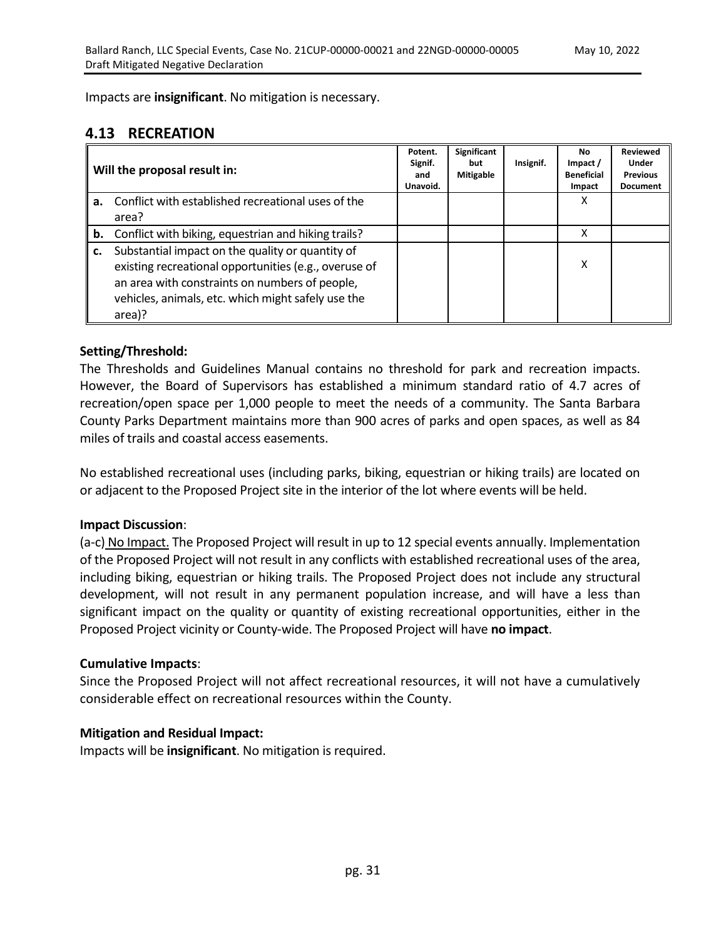Impacts are **insignificant**. No mitigation is necessary.

# **4.13 RECREATION**

|    | Will the proposal result in:                                                                                                                                                                                                | Potent.<br>Signif.<br>and<br>Unavoid. | Significant<br>but<br><b>Mitigable</b> | Insignif. | <b>No</b><br>Impact /<br><b>Beneficial</b><br>Impact | <b>Reviewed</b><br>Under<br><b>Previous</b><br><b>Document</b> |
|----|-----------------------------------------------------------------------------------------------------------------------------------------------------------------------------------------------------------------------------|---------------------------------------|----------------------------------------|-----------|------------------------------------------------------|----------------------------------------------------------------|
| а. | Conflict with established recreational uses of the<br>area?                                                                                                                                                                 |                                       |                                        |           | х                                                    |                                                                |
| b. | Conflict with biking, equestrian and hiking trails?                                                                                                                                                                         |                                       |                                        |           | x                                                    |                                                                |
| c. | Substantial impact on the quality or quantity of<br>existing recreational opportunities (e.g., overuse of<br>an area with constraints on numbers of people,<br>vehicles, animals, etc. which might safely use the<br>area)? |                                       |                                        |           | x                                                    |                                                                |

## **Setting/Threshold:**

The Thresholds and Guidelines Manual contains no threshold for park and recreation impacts. However, the Board of Supervisors has established a minimum standard ratio of 4.7 acres of recreation/open space per 1,000 people to meet the needs of a community. The Santa Barbara County Parks Department maintains more than 900 acres of parks and open spaces, as well as 84 miles of trails and coastal access easements.

No established recreational uses (including parks, biking, equestrian or hiking trails) are located on or adjacent to the Proposed Project site in the interior of the lot where events will be held.

#### **Impact Discussion**:

(a-c) No Impact. The Proposed Project will result in up to 12 special events annually. Implementation of the Proposed Project will not result in any conflicts with established recreational uses of the area, including biking, equestrian or hiking trails. The Proposed Project does not include any structural development, will not result in any permanent population increase, and will have a less than significant impact on the quality or quantity of existing recreational opportunities, either in the Proposed Project vicinity or County-wide. The Proposed Project will have **no impact**.

#### **Cumulative Impacts**:

Since the Proposed Project will not affect recreational resources, it will not have a cumulatively considerable effect on recreational resources within the County.

#### **Mitigation and Residual Impact:**

Impacts will be **insignificant**. No mitigation is required.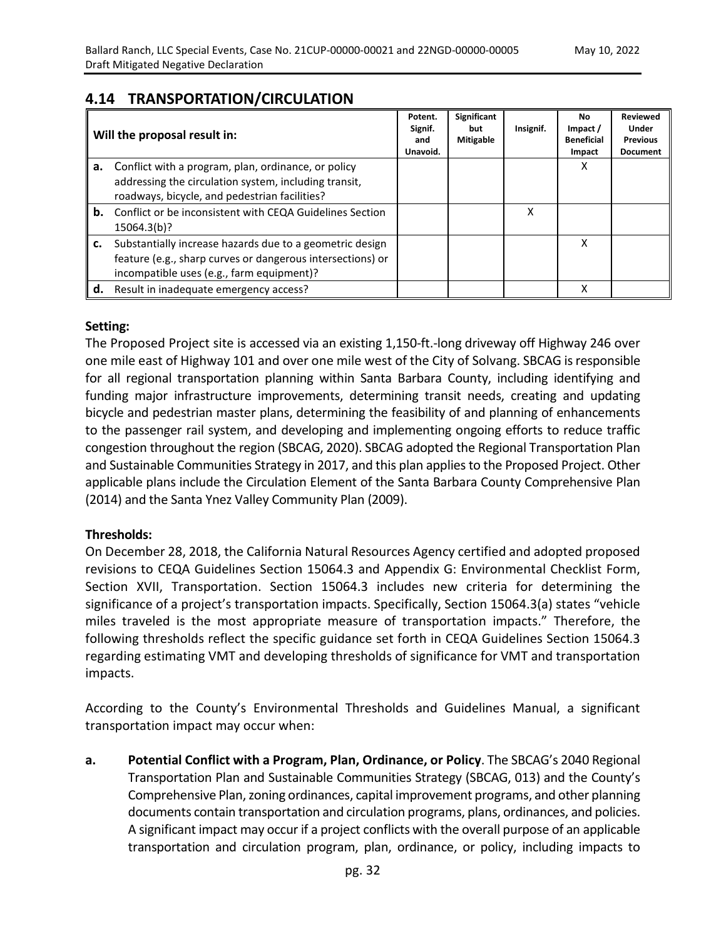# **4.14 TRANSPORTATION/CIRCULATION**

|    | Will the proposal result in:                                                                                                                                        | Potent.<br>Signif.<br>and<br>Unavoid. | Significant<br>but<br><b>Mitigable</b> | Insignif. | No.<br>Impact /<br><b>Beneficial</b><br>Impact | <b>Reviewed</b><br>Under<br><b>Previous</b><br><b>Document</b> |
|----|---------------------------------------------------------------------------------------------------------------------------------------------------------------------|---------------------------------------|----------------------------------------|-----------|------------------------------------------------|----------------------------------------------------------------|
| а. | Conflict with a program, plan, ordinance, or policy                                                                                                                 |                                       |                                        |           | χ                                              |                                                                |
|    | addressing the circulation system, including transit,<br>roadways, bicycle, and pedestrian facilities?                                                              |                                       |                                        |           |                                                |                                                                |
| b. | Conflict or be inconsistent with CEQA Guidelines Section<br>15064.3(b)?                                                                                             |                                       |                                        | x         |                                                |                                                                |
| c. | Substantially increase hazards due to a geometric design<br>feature (e.g., sharp curves or dangerous intersections) or<br>incompatible uses (e.g., farm equipment)? |                                       |                                        |           | x                                              |                                                                |
| d. | Result in inadequate emergency access?                                                                                                                              |                                       |                                        |           | χ                                              |                                                                |

#### **Setting:**

The Proposed Project site is accessed via an existing 1,150-ft.-long driveway off Highway 246 over one mile east of Highway 101 and over one mile west of the City of Solvang. SBCAG is responsible for all regional transportation planning within Santa Barbara County, including identifying and funding major infrastructure improvements, determining transit needs, creating and updating bicycle and pedestrian master plans, determining the feasibility of and planning of enhancements to the passenger rail system, and developing and implementing ongoing efforts to reduce traffic congestion throughout the region (SBCAG, 2020). SBCAG adopted the Regional Transportation Plan and Sustainable Communities Strategy in 2017, and this plan applies to the Proposed Project. Other applicable plans include the Circulation Element of the Santa Barbara County Comprehensive Plan (2014) and the Santa Ynez Valley Community Plan (2009).

#### **Thresholds:**

On December 28, 2018, the California Natural Resources Agency certified and adopted proposed revisions to CEQA Guidelines Section 15064.3 and Appendix G: Environmental Checklist Form, Section XVII, Transportation. Section 15064.3 includes new criteria for determining the significance of a project's transportation impacts. Specifically, Section 15064.3(a) states "vehicle miles traveled is the most appropriate measure of transportation impacts." Therefore, the following thresholds reflect the specific guidance set forth in CEQA Guidelines Section 15064.3 regarding estimating VMT and developing thresholds of significance for VMT and transportation impacts.

According to the County's Environmental Thresholds and Guidelines Manual, a significant transportation impact may occur when:

**a. Potential Conflict with a Program, Plan, Ordinance, or Policy**. The SBCAG's 2040 Regional Transportation Plan and Sustainable Communities Strategy (SBCAG, 013) and the County's Comprehensive Plan, zoning ordinances, capital improvement programs, and other planning documents contain transportation and circulation programs, plans, ordinances, and policies. A significant impact may occur if a project conflicts with the overall purpose of an applicable transportation and circulation program, plan, ordinance, or policy, including impacts to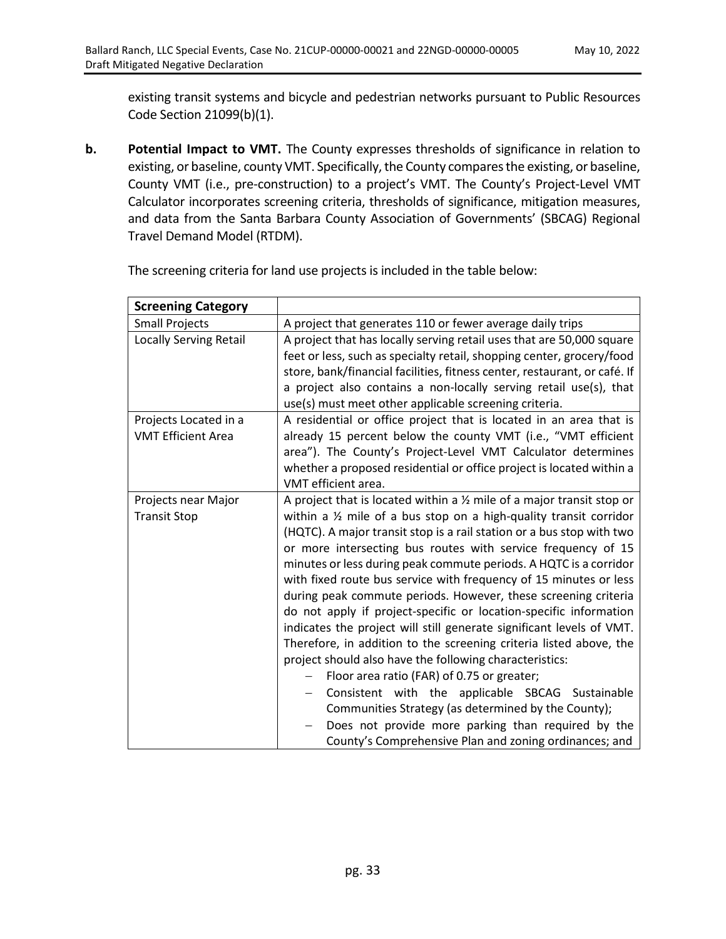existing transit systems and bicycle and pedestrian networks pursuant to Public Resources Code Section 21099(b)(1).

**b. Potential Impact to VMT.** The County expresses thresholds of significance in relation to existing, or baseline, county VMT. Specifically, the County compares the existing, or baseline, County VMT (i.e., pre-construction) to a project's VMT. The County's Project-Level VMT Calculator incorporates screening criteria, thresholds of significance, mitigation measures, and data from the Santa Barbara County Association of Governments' (SBCAG) Regional Travel Demand Model (RTDM).

| <b>Screening Category</b>                          |                                                                                                                                                                                                                                                                                                                                                                                                                                                                                                                                                                                                                                                                                                                                                                                                                                                                                                                                                                                                                                                                              |
|----------------------------------------------------|------------------------------------------------------------------------------------------------------------------------------------------------------------------------------------------------------------------------------------------------------------------------------------------------------------------------------------------------------------------------------------------------------------------------------------------------------------------------------------------------------------------------------------------------------------------------------------------------------------------------------------------------------------------------------------------------------------------------------------------------------------------------------------------------------------------------------------------------------------------------------------------------------------------------------------------------------------------------------------------------------------------------------------------------------------------------------|
| <b>Small Projects</b>                              | A project that generates 110 or fewer average daily trips                                                                                                                                                                                                                                                                                                                                                                                                                                                                                                                                                                                                                                                                                                                                                                                                                                                                                                                                                                                                                    |
| <b>Locally Serving Retail</b>                      | A project that has locally serving retail uses that are 50,000 square<br>feet or less, such as specialty retail, shopping center, grocery/food<br>store, bank/financial facilities, fitness center, restaurant, or café. If<br>a project also contains a non-locally serving retail use(s), that<br>use(s) must meet other applicable screening criteria.                                                                                                                                                                                                                                                                                                                                                                                                                                                                                                                                                                                                                                                                                                                    |
| Projects Located in a<br><b>VMT Efficient Area</b> | A residential or office project that is located in an area that is<br>already 15 percent below the county VMT (i.e., "VMT efficient<br>area"). The County's Project-Level VMT Calculator determines<br>whether a proposed residential or office project is located within a<br>VMT efficient area.                                                                                                                                                                                                                                                                                                                                                                                                                                                                                                                                                                                                                                                                                                                                                                           |
| Projects near Major<br><b>Transit Stop</b>         | A project that is located within a $\frac{1}{2}$ mile of a major transit stop or<br>within a $\frac{1}{2}$ mile of a bus stop on a high-quality transit corridor<br>(HQTC). A major transit stop is a rail station or a bus stop with two<br>or more intersecting bus routes with service frequency of 15<br>minutes or less during peak commute periods. A HQTC is a corridor<br>with fixed route bus service with frequency of 15 minutes or less<br>during peak commute periods. However, these screening criteria<br>do not apply if project-specific or location-specific information<br>indicates the project will still generate significant levels of VMT.<br>Therefore, in addition to the screening criteria listed above, the<br>project should also have the following characteristics:<br>Floor area ratio (FAR) of 0.75 or greater;<br>Consistent with the applicable SBCAG Sustainable<br>Communities Strategy (as determined by the County);<br>Does not provide more parking than required by the<br>County's Comprehensive Plan and zoning ordinances; and |

The screening criteria for land use projects is included in the table below: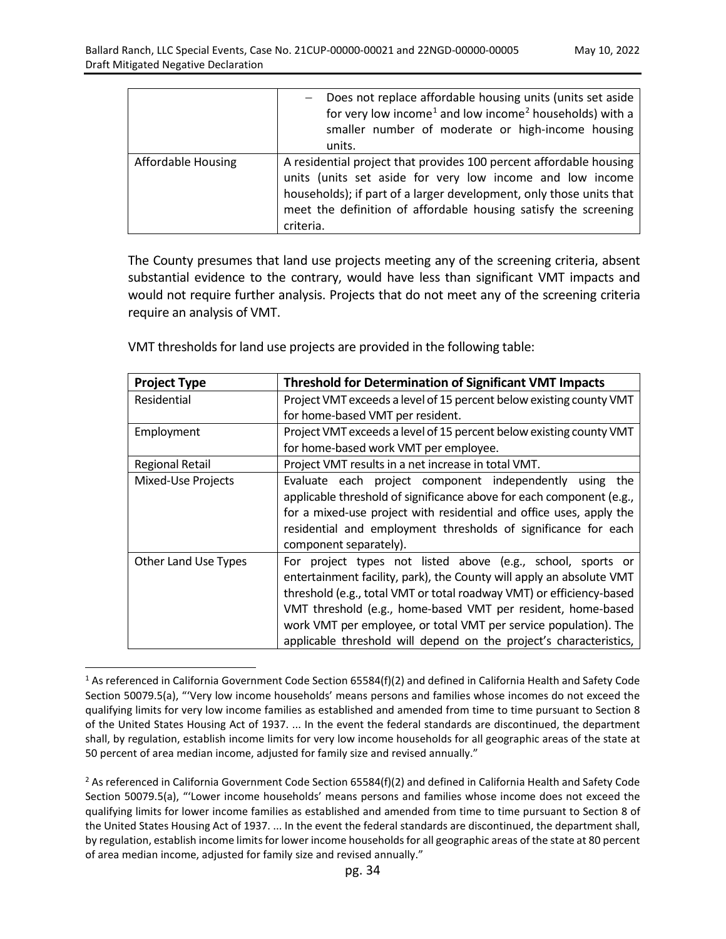|                           | Does not replace affordable housing units (units set aside<br>for very low income <sup>1</sup> and low income <sup>2</sup> households) with a<br>smaller number of moderate or high-income housing<br>units.                                                                           |
|---------------------------|----------------------------------------------------------------------------------------------------------------------------------------------------------------------------------------------------------------------------------------------------------------------------------------|
| <b>Affordable Housing</b> | A residential project that provides 100 percent affordable housing<br>units (units set aside for very low income and low income<br>households); if part of a larger development, only those units that<br>meet the definition of affordable housing satisfy the screening<br>criteria. |

The County presumes that land use projects meeting any of the screening criteria, absent substantial evidence to the contrary, would have less than significant VMT impacts and would not require further analysis. Projects that do not meet any of the screening criteria require an analysis of VMT.

| <b>Project Type</b>    | <b>Threshold for Determination of Significant VMT Impacts</b>                                                                                                                                                                                                                                                                                                                                                         |
|------------------------|-----------------------------------------------------------------------------------------------------------------------------------------------------------------------------------------------------------------------------------------------------------------------------------------------------------------------------------------------------------------------------------------------------------------------|
| Residential            | Project VMT exceeds a level of 15 percent below existing county VMT                                                                                                                                                                                                                                                                                                                                                   |
|                        | for home-based VMT per resident.                                                                                                                                                                                                                                                                                                                                                                                      |
| Employment             | Project VMT exceeds a level of 15 percent below existing county VMT                                                                                                                                                                                                                                                                                                                                                   |
|                        | for home-based work VMT per employee.                                                                                                                                                                                                                                                                                                                                                                                 |
| <b>Regional Retail</b> | Project VMT results in a net increase in total VMT.                                                                                                                                                                                                                                                                                                                                                                   |
| Mixed-Use Projects     | Evaluate each project component independently using the<br>applicable threshold of significance above for each component (e.g.,<br>for a mixed-use project with residential and office uses, apply the<br>residential and employment thresholds of significance for each<br>component separately).                                                                                                                    |
| Other Land Use Types   | For project types not listed above (e.g., school, sports or<br>entertainment facility, park), the County will apply an absolute VMT<br>threshold (e.g., total VMT or total roadway VMT) or efficiency-based<br>VMT threshold (e.g., home-based VMT per resident, home-based<br>work VMT per employee, or total VMT per service population). The<br>applicable threshold will depend on the project's characteristics, |

VMT thresholds for land use projects are provided in the following table:

 $\overline{a}$ 

<span id="page-34-0"></span><sup>&</sup>lt;sup>1</sup> As referenced in California Government Code Section 65584(f)(2) and defined in California Health and Safety Code Section 50079.5(a), "'Very low income households' means persons and families whose incomes do not exceed the qualifying limits for very low income families as established and amended from time to time pursuant to Section 8 of the United States Housing Act of 1937. ... In the event the federal standards are discontinued, the department shall, by regulation, establish income limits for very low income households for all geographic areas of the state at 50 percent of area median income, adjusted for family size and revised annually."

<span id="page-34-1"></span> $2$  As referenced in California Government Code Section 65584(f)(2) and defined in California Health and Safety Code Section 50079.5(a), "'Lower income households' means persons and families whose income does not exceed the qualifying limits for lower income families as established and amended from time to time pursuant to Section 8 of the United States Housing Act of 1937. ... In the event the federal standards are discontinued, the department shall, by regulation, establish income limits for lower income households for all geographic areas of the state at 80 percent of area median income, adjusted for family size and revised annually."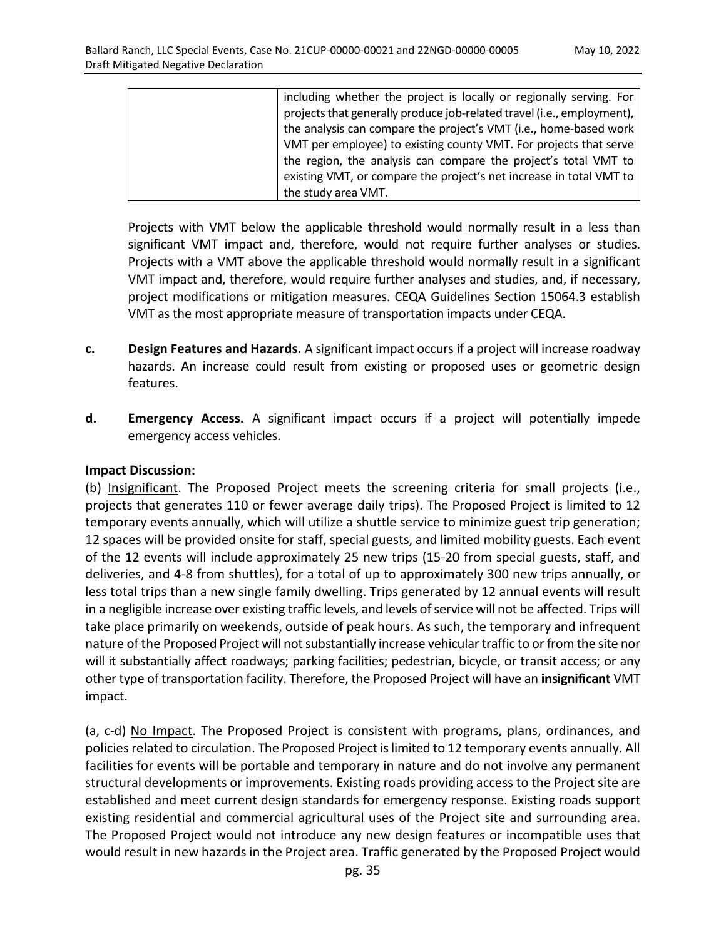| including whether the project is locally or regionally serving. For    |
|------------------------------------------------------------------------|
| projects that generally produce job-related travel (i.e., employment), |
| the analysis can compare the project's VMT (i.e., home-based work      |
| VMT per employee) to existing county VMT. For projects that serve      |
| the region, the analysis can compare the project's total VMT to        |
| existing VMT, or compare the project's net increase in total VMT to    |
| the study area VMT.                                                    |

Projects with VMT below the applicable threshold would normally result in a less than significant VMT impact and, therefore, would not require further analyses or studies. Projects with a VMT above the applicable threshold would normally result in a significant VMT impact and, therefore, would require further analyses and studies, and, if necessary, project modifications or mitigation measures. CEQA Guidelines Section 15064.3 establish VMT as the most appropriate measure of transportation impacts under CEQA.

- **c. Design Features and Hazards.** A significant impact occurs if a project will increase roadway hazards. An increase could result from existing or proposed uses or geometric design features.
- **d. Emergency Access.** A significant impact occurs if a project will potentially impede emergency access vehicles.

#### **Impact Discussion:**

(b) Insignificant. The Proposed Project meets the screening criteria for small projects (i.e., projects that generates 110 or fewer average daily trips). The Proposed Project is limited to 12 temporary events annually, which will utilize a shuttle service to minimize guest trip generation; 12 spaces will be provided onsite for staff, special guests, and limited mobility guests. Each event of the 12 events will include approximately 25 new trips (15-20 from special guests, staff, and deliveries, and 4-8 from shuttles), for a total of up to approximately 300 new trips annually, or less total trips than a new single family dwelling. Trips generated by 12 annual events will result in a negligible increase over existing traffic levels, and levels of service will not be affected. Trips will take place primarily on weekends, outside of peak hours. As such, the temporary and infrequent nature of the Proposed Project will not substantially increase vehicular traffic to or from the site nor will it substantially affect roadways; parking facilities; pedestrian, bicycle, or transit access; or any other type of transportation facility. Therefore, the Proposed Project will have an **insignificant** VMT impact.

(a, c-d) No Impact. The Proposed Project is consistent with programs, plans, ordinances, and policies related to circulation. The Proposed Project islimited to 12 temporary events annually. All facilities for events will be portable and temporary in nature and do not involve any permanent structural developments or improvements. Existing roads providing access to the Project site are established and meet current design standards for emergency response. Existing roads support existing residential and commercial agricultural uses of the Project site and surrounding area. The Proposed Project would not introduce any new design features or incompatible uses that would result in new hazards in the Project area. Traffic generated by the Proposed Project would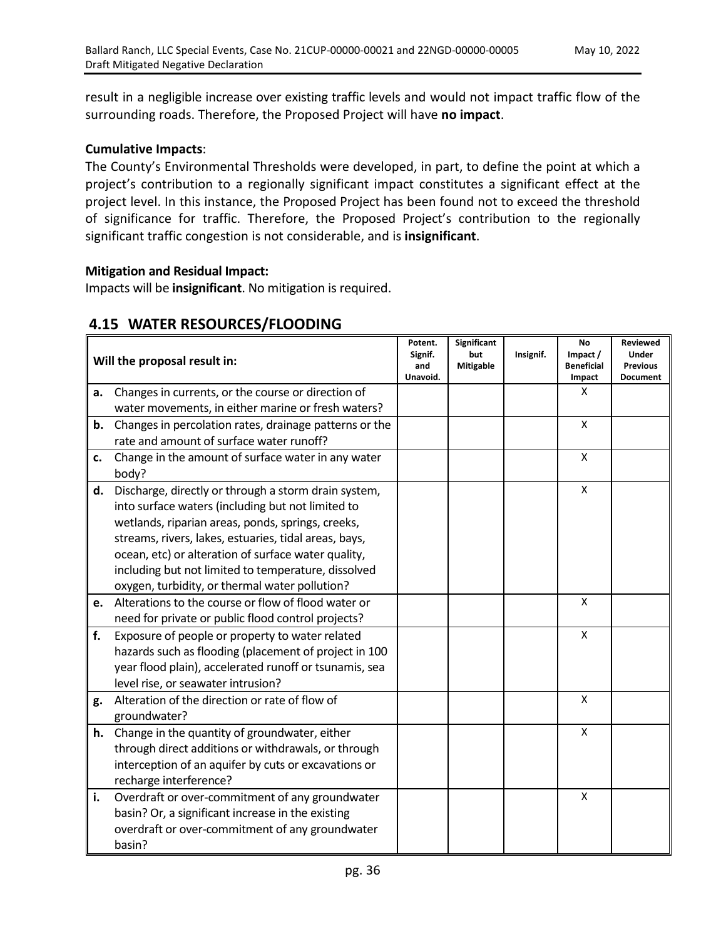result in a negligible increase over existing traffic levels and would not impact traffic flow of the surrounding roads. Therefore, the Proposed Project will have **no impact**.

## **Cumulative Impacts**:

The County's Environmental Thresholds were developed, in part, to define the point at which a project's contribution to a regionally significant impact constitutes a significant effect at the project level. In this instance, the Proposed Project has been found not to exceed the threshold of significance for traffic. Therefore, the Proposed Project's contribution to the regionally significant traffic congestion is not considerable, and is **insignificant**.

#### **Mitigation and Residual Impact:**

Impacts will be **insignificant**. No mitigation is required.

| Will the proposal result in: |                                                        | Potent.<br>Signif.<br>and<br>Unavoid. | Significant<br>but<br><b>Mitigable</b> | Insignif. | <b>No</b><br>Impact /<br><b>Beneficial</b><br>Impact | Reviewed<br><b>Under</b><br><b>Previous</b><br><b>Document</b> |
|------------------------------|--------------------------------------------------------|---------------------------------------|----------------------------------------|-----------|------------------------------------------------------|----------------------------------------------------------------|
| a.                           | Changes in currents, or the course or direction of     |                                       |                                        |           | X                                                    |                                                                |
|                              | water movements, in either marine or fresh waters?     |                                       |                                        |           |                                                      |                                                                |
| b.                           | Changes in percolation rates, drainage patterns or the |                                       |                                        |           | X                                                    |                                                                |
|                              | rate and amount of surface water runoff?               |                                       |                                        |           |                                                      |                                                                |
| c.                           | Change in the amount of surface water in any water     |                                       |                                        |           | X                                                    |                                                                |
|                              | body?                                                  |                                       |                                        |           |                                                      |                                                                |
| d.                           | Discharge, directly or through a storm drain system,   |                                       |                                        |           | $\pmb{\mathsf{X}}$                                   |                                                                |
|                              | into surface waters (including but not limited to      |                                       |                                        |           |                                                      |                                                                |
|                              | wetlands, riparian areas, ponds, springs, creeks,      |                                       |                                        |           |                                                      |                                                                |
|                              | streams, rivers, lakes, estuaries, tidal areas, bays,  |                                       |                                        |           |                                                      |                                                                |
|                              | ocean, etc) or alteration of surface water quality,    |                                       |                                        |           |                                                      |                                                                |
|                              | including but not limited to temperature, dissolved    |                                       |                                        |           |                                                      |                                                                |
|                              | oxygen, turbidity, or thermal water pollution?         |                                       |                                        |           |                                                      |                                                                |
| e.                           | Alterations to the course or flow of flood water or    |                                       |                                        |           | $\mathsf{x}$                                         |                                                                |
|                              | need for private or public flood control projects?     |                                       |                                        |           |                                                      |                                                                |
| f.                           | Exposure of people or property to water related        |                                       |                                        |           | X                                                    |                                                                |
|                              | hazards such as flooding (placement of project in 100  |                                       |                                        |           |                                                      |                                                                |
|                              | year flood plain), accelerated runoff or tsunamis, sea |                                       |                                        |           |                                                      |                                                                |
|                              | level rise, or seawater intrusion?                     |                                       |                                        |           |                                                      |                                                                |
| g.                           | Alteration of the direction or rate of flow of         |                                       |                                        |           | X                                                    |                                                                |
|                              | groundwater?                                           |                                       |                                        |           |                                                      |                                                                |
| h.                           | Change in the quantity of groundwater, either          |                                       |                                        |           | X                                                    |                                                                |
|                              | through direct additions or withdrawals, or through    |                                       |                                        |           |                                                      |                                                                |
|                              | interception of an aquifer by cuts or excavations or   |                                       |                                        |           |                                                      |                                                                |
|                              | recharge interference?                                 |                                       |                                        |           |                                                      |                                                                |
| i.                           | Overdraft or over-commitment of any groundwater        |                                       |                                        |           | X                                                    |                                                                |
|                              | basin? Or, a significant increase in the existing      |                                       |                                        |           |                                                      |                                                                |
|                              | overdraft or over-commitment of any groundwater        |                                       |                                        |           |                                                      |                                                                |
|                              | basin?                                                 |                                       |                                        |           |                                                      |                                                                |

# **4.15 WATER RESOURCES/FLOODING**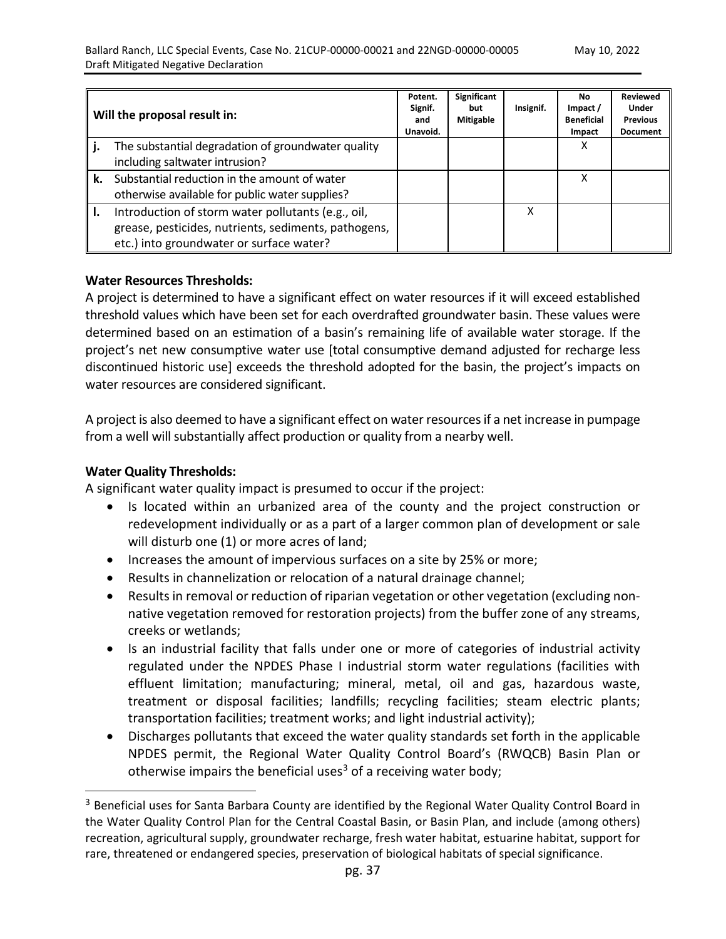| Will the proposal result in:                                                                                                                           |  | Significant<br>but<br><b>Mitigable</b> | Insignif. | No.<br>Impact /<br><b>Beneficial</b><br>Impact | <b>Reviewed</b><br><b>Under</b><br><b>Previous</b><br><b>Document</b> |
|--------------------------------------------------------------------------------------------------------------------------------------------------------|--|----------------------------------------|-----------|------------------------------------------------|-----------------------------------------------------------------------|
| The substantial degradation of groundwater quality<br>including saltwater intrusion?                                                                   |  |                                        |           | x                                              |                                                                       |
| k. Substantial reduction in the amount of water<br>otherwise available for public water supplies?                                                      |  |                                        |           | χ                                              |                                                                       |
| Introduction of storm water pollutants (e.g., oil,<br>grease, pesticides, nutrients, sediments, pathogens,<br>etc.) into groundwater or surface water? |  |                                        | x         |                                                |                                                                       |

#### **Water Resources Thresholds:**

A project is determined to have a significant effect on water resources if it will exceed established threshold values which have been set for each overdrafted groundwater basin. These values were determined based on an estimation of a basin's remaining life of available water storage. If the project's net new consumptive water use [total consumptive demand adjusted for recharge less discontinued historic use] exceeds the threshold adopted for the basin, the project's impacts on water resources are considered significant.

A project is also deemed to have a significant effect on water resources if a net increase in pumpage from a well will substantially affect production or quality from a nearby well.

#### **Water Quality Thresholds:**

 $\overline{a}$ 

A significant water quality impact is presumed to occur if the project:

- Is located within an urbanized area of the county and the project construction or redevelopment individually or as a part of a larger common plan of development or sale will disturb one (1) or more acres of land;
- Increases the amount of impervious surfaces on a site by 25% or more;
- Results in channelization or relocation of a natural drainage channel;
- Results in removal or reduction of riparian vegetation or other vegetation (excluding nonnative vegetation removed for restoration projects) from the buffer zone of any streams, creeks or wetlands;
- Is an industrial facility that falls under one or more of categories of industrial activity regulated under the NPDES Phase I industrial storm water regulations (facilities with effluent limitation; manufacturing; mineral, metal, oil and gas, hazardous waste, treatment or disposal facilities; landfills; recycling facilities; steam electric plants; transportation facilities; treatment works; and light industrial activity);
- Discharges pollutants that exceed the water quality standards set forth in the applicable NPDES permit, the Regional Water Quality Control Board's (RWQCB) Basin Plan or otherwise impairs the beneficial uses<sup>3</sup> of a receiving water body;

<span id="page-37-0"></span><sup>&</sup>lt;sup>3</sup> Beneficial uses for Santa Barbara County are identified by the Regional Water Quality Control Board in the Water Quality Control Plan for the Central Coastal Basin, or Basin Plan, and include (among others) recreation, agricultural supply, groundwater recharge, fresh water habitat, estuarine habitat, support for rare, threatened or endangered species, preservation of biological habitats of special significance.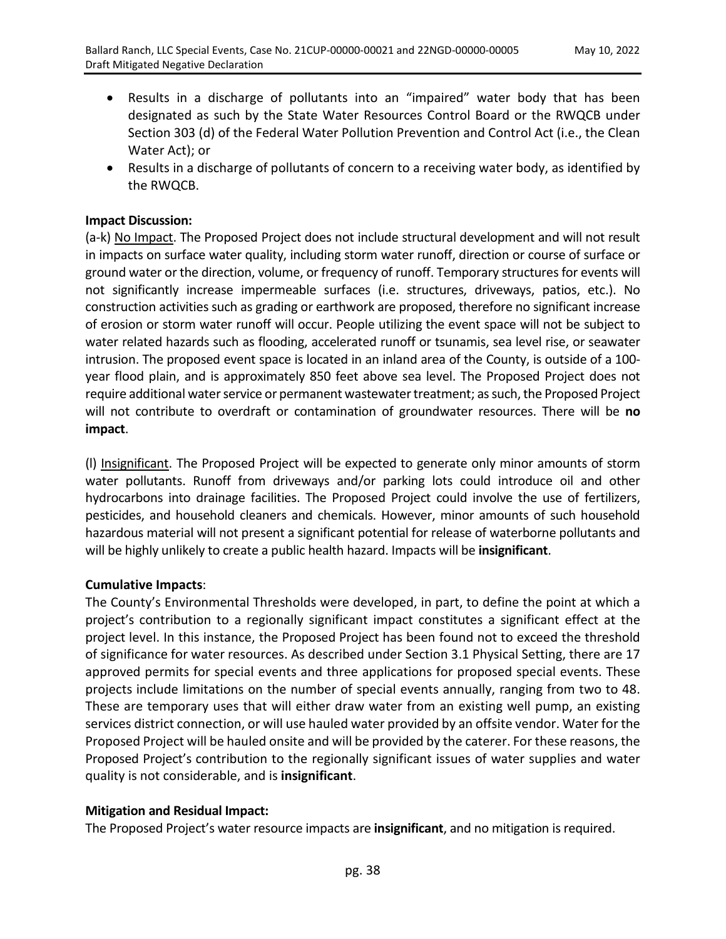- Results in a discharge of pollutants into an "impaired" water body that has been designated as such by the State Water Resources Control Board or the RWQCB under Section 303 (d) of the Federal Water Pollution Prevention and Control Act (i.e., the Clean Water Act); or
- Results in a discharge of pollutants of concern to a receiving water body, as identified by the RWQCB.

## **Impact Discussion:**

(a-k) No Impact. The Proposed Project does not include structural development and will not result in impacts on surface water quality, including storm water runoff, direction or course of surface or ground water or the direction, volume, or frequency of runoff. Temporary structures for events will not significantly increase impermeable surfaces (i.e. structures, driveways, patios, etc.). No construction activities such as grading or earthwork are proposed, therefore no significant increase of erosion or storm water runoff will occur. People utilizing the event space will not be subject to water related hazards such as flooding, accelerated runoff or tsunamis, sea level rise, or seawater intrusion. The proposed event space is located in an inland area of the County, is outside of a 100 year flood plain, and is approximately 850 feet above sea level. The Proposed Project does not require additional water service or permanent wastewater treatment; as such, the Proposed Project will not contribute to overdraft or contamination of groundwater resources. There will be **no impact**.

(l) Insignificant. The Proposed Project will be expected to generate only minor amounts of storm water pollutants. Runoff from driveways and/or parking lots could introduce oil and other hydrocarbons into drainage facilities. The Proposed Project could involve the use of fertilizers, pesticides, and household cleaners and chemicals. However, minor amounts of such household hazardous material will not present a significant potential for release of waterborne pollutants and will be highly unlikely to create a public health hazard. Impacts will be **insignificant**.

#### **Cumulative Impacts**:

The County's Environmental Thresholds were developed, in part, to define the point at which a project's contribution to a regionally significant impact constitutes a significant effect at the project level. In this instance, the Proposed Project has been found not to exceed the threshold of significance for water resources. As described under Section 3.1 Physical Setting, there are 17 approved permits for special events and three applications for proposed special events. These projects include limitations on the number of special events annually, ranging from two to 48. These are temporary uses that will either draw water from an existing well pump, an existing services district connection, or will use hauled water provided by an offsite vendor. Water for the Proposed Project will be hauled onsite and will be provided by the caterer. For these reasons, the Proposed Project's contribution to the regionally significant issues of water supplies and water quality is not considerable, and is **insignificant**.

## **Mitigation and Residual Impact:**

The Proposed Project's water resource impacts are **insignificant**, and no mitigation is required.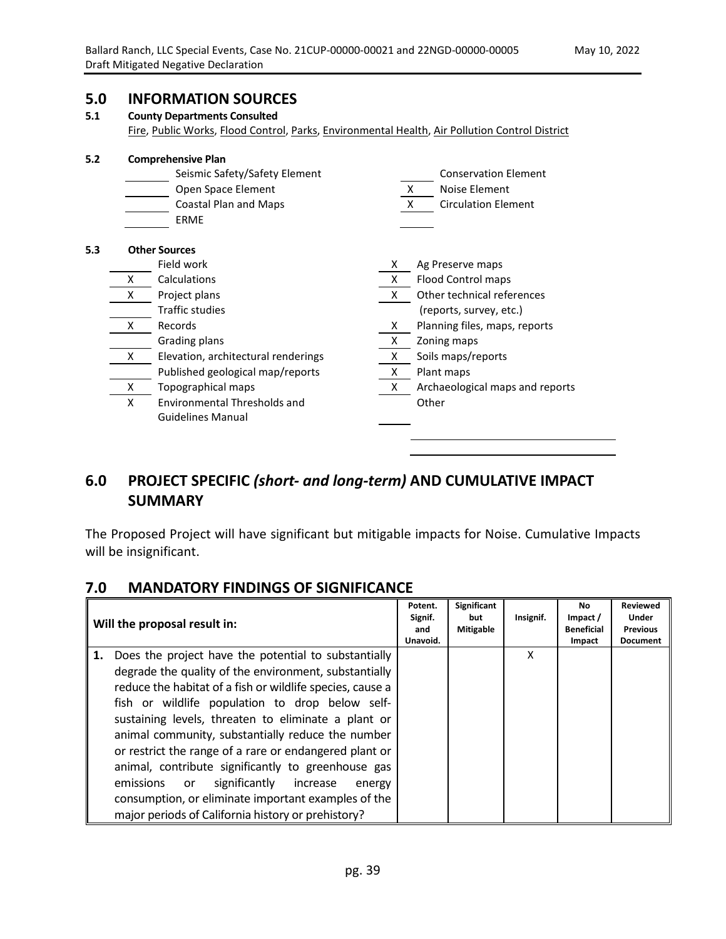# **5.0 INFORMATION SOURCES**

#### **5.1 County Departments Consulted**

Fire, Public Works, Flood Control, Parks, Environmental Health, Air Pollution Control District

| 5.2 |                    | <b>Comprehensive Plan</b>           |                                 |                                 |  |  |  |
|-----|--------------------|-------------------------------------|---------------------------------|---------------------------------|--|--|--|
|     |                    | Seismic Safety/Safety Element       | <b>Conservation Element</b>     |                                 |  |  |  |
|     | Open Space Element |                                     |                                 | Noise Element<br>X              |  |  |  |
|     |                    | <b>Coastal Plan and Maps</b>        | <b>Circulation Element</b><br>X |                                 |  |  |  |
|     |                    | <b>ERME</b>                         |                                 |                                 |  |  |  |
| 5.3 |                    | <b>Other Sources</b>                |                                 |                                 |  |  |  |
|     |                    | Field work                          | X.                              | Ag Preserve maps                |  |  |  |
|     | x                  | Calculations                        | X.                              | Flood Control maps              |  |  |  |
|     | X                  | Project plans                       | X.                              | Other technical references      |  |  |  |
|     |                    | Traffic studies                     |                                 | (reports, survey, etc.)         |  |  |  |
|     | x                  | Records                             | X                               | Planning files, maps, reports   |  |  |  |
|     |                    | Grading plans                       | x                               | Zoning maps                     |  |  |  |
|     | X                  | Elevation, architectural renderings | X                               | Soils maps/reports              |  |  |  |
|     |                    | Published geological map/reports    | X                               | Plant maps                      |  |  |  |
|     | X                  | Topographical maps                  | X                               | Archaeological maps and reports |  |  |  |
|     | X                  | Environmental Thresholds and        |                                 | Other                           |  |  |  |
|     |                    | <b>Guidelines Manual</b>            |                                 |                                 |  |  |  |
|     |                    |                                     |                                 |                                 |  |  |  |

# **6.0 PROJECT SPECIFIC** *(short- and long-term)* **AND CUMULATIVE IMPACT SUMMARY**

The Proposed Project will have significant but mitigable impacts for Noise. Cumulative Impacts will be insignificant.

## **7.0 MANDATORY FINDINGS OF SIGNIFICANCE**

|    | Will the proposal result in:                                                                                                                                                                                                                                                                                                                                                                                                                                                                                                                                                                                                  | Potent.<br>Signif.<br>and<br>Unavoid. | Significant<br>but<br><b>Mitigable</b> | Insignif. | No<br>Impact /<br><b>Beneficial</b><br>Impact | <b>Reviewed</b><br>Under<br><b>Previous</b><br><b>Document</b> |
|----|-------------------------------------------------------------------------------------------------------------------------------------------------------------------------------------------------------------------------------------------------------------------------------------------------------------------------------------------------------------------------------------------------------------------------------------------------------------------------------------------------------------------------------------------------------------------------------------------------------------------------------|---------------------------------------|----------------------------------------|-----------|-----------------------------------------------|----------------------------------------------------------------|
| 1. | Does the project have the potential to substantially<br>degrade the quality of the environment, substantially<br>reduce the habitat of a fish or wildlife species, cause a<br>fish or wildlife population to drop below self-<br>sustaining levels, threaten to eliminate a plant or<br>animal community, substantially reduce the number<br>or restrict the range of a rare or endangered plant or<br>animal, contribute significantly to greenhouse gas<br>significantly<br>emissions or<br>increase<br>energy<br>consumption, or eliminate important examples of the<br>major periods of California history or prehistory? |                                       |                                        | x         |                                               |                                                                |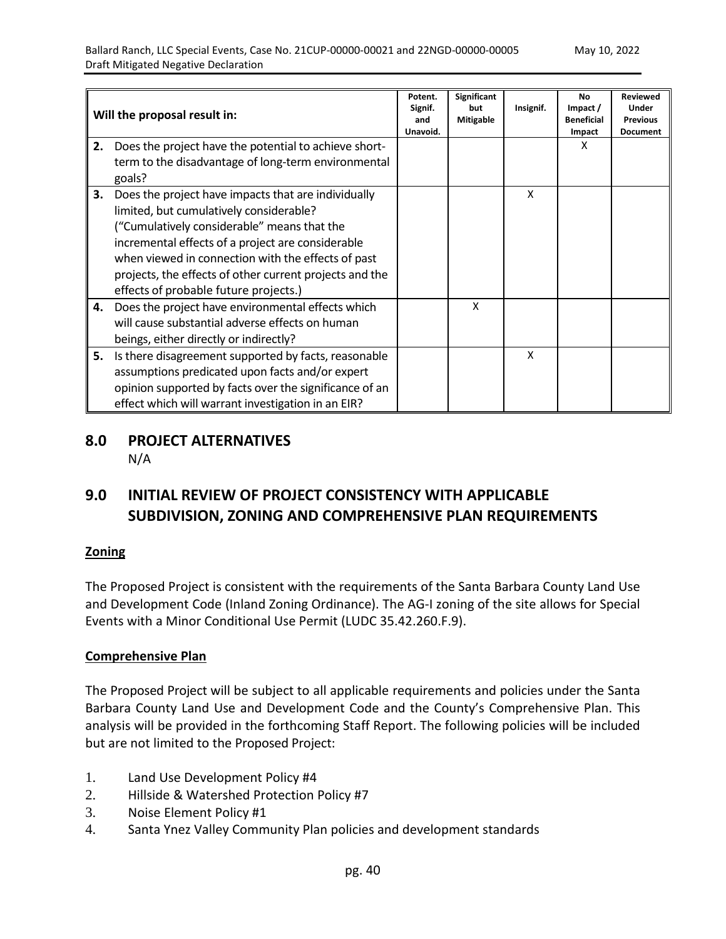| Will the proposal result in: |                                                                                                                                                                                                                                                                                                                                                              | Potent.<br>Signif.<br>and<br>Unavoid. | Significant<br>but<br><b>Mitigable</b> | Insignif. | <b>No</b><br>Impact /<br><b>Beneficial</b><br>Impact | <b>Reviewed</b><br>Under<br><b>Previous</b><br><b>Document</b> |
|------------------------------|--------------------------------------------------------------------------------------------------------------------------------------------------------------------------------------------------------------------------------------------------------------------------------------------------------------------------------------------------------------|---------------------------------------|----------------------------------------|-----------|------------------------------------------------------|----------------------------------------------------------------|
| 2.                           | Does the project have the potential to achieve short-<br>term to the disadvantage of long-term environmental<br>goals?                                                                                                                                                                                                                                       |                                       |                                        |           | x                                                    |                                                                |
| 3.                           | Does the project have impacts that are individually<br>limited, but cumulatively considerable?<br>("Cumulatively considerable" means that the<br>incremental effects of a project are considerable<br>when viewed in connection with the effects of past<br>projects, the effects of other current projects and the<br>effects of probable future projects.) |                                       |                                        | x         |                                                      |                                                                |
| 4.                           | Does the project have environmental effects which<br>will cause substantial adverse effects on human<br>beings, either directly or indirectly?                                                                                                                                                                                                               |                                       | X                                      |           |                                                      |                                                                |
| 5.                           | Is there disagreement supported by facts, reasonable<br>assumptions predicated upon facts and/or expert<br>opinion supported by facts over the significance of an<br>effect which will warrant investigation in an EIR?                                                                                                                                      |                                       |                                        | X         |                                                      |                                                                |

## **8.0 PROJECT ALTERNATIVES** N/A

# **9.0 INITIAL REVIEW OF PROJECT CONSISTENCY WITH APPLICABLE SUBDIVISION, ZONING AND COMPREHENSIVE PLAN REQUIREMENTS**

## **Zoning**

The Proposed Project is consistent with the requirements of the Santa Barbara County Land Use and Development Code (Inland Zoning Ordinance). The AG-I zoning of the site allows for Special Events with a Minor Conditional Use Permit (LUDC 35.42.260.F.9).

## **Comprehensive Plan**

The Proposed Project will be subject to all applicable requirements and policies under the Santa Barbara County Land Use and Development Code and the County's Comprehensive Plan. This analysis will be provided in the forthcoming Staff Report. The following policies will be included but are not limited to the Proposed Project:

- 1. Land Use Development Policy #4
- 2. Hillside & Watershed Protection Policy #7
- 3. Noise Element Policy #1
- 4. Santa Ynez Valley Community Plan policies and development standards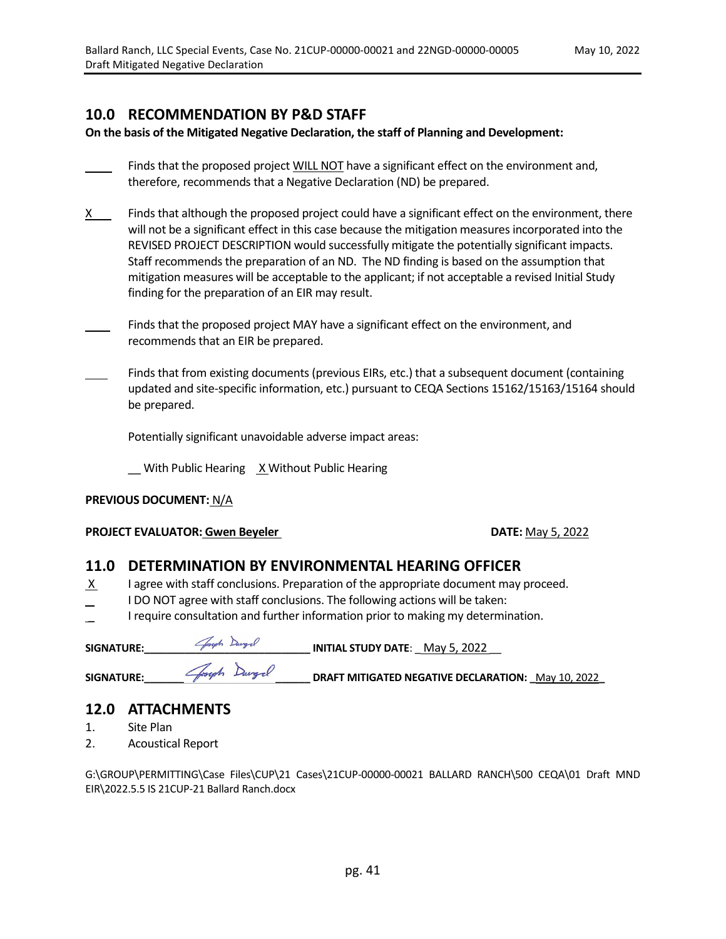## **10.0 RECOMMENDATION BY P&D STAFF**

**On the basis of the Mitigated Negative Declaration, the staff of Planning and Development:**

- Finds that the proposed project WILL NOT have a significant effect on the environment and, therefore, recommends that a Negative Declaration (ND) be prepared.
- $X$  Finds that although the proposed project could have a significant effect on the environment, there will not be a significant effect in this case because the mitigation measures incorporated into the REVISED PROJECT DESCRIPTION would successfully mitigate the potentially significant impacts. Staff recommends the preparation of an ND. The ND finding is based on the assumption that mitigation measures will be acceptable to the applicant; if not acceptable a revised Initial Study finding for the preparation of an EIR may result.
- Finds that the proposed project MAY have a significant effect on the environment, and recommends that an EIR be prepared.
- Finds that from existing documents (previous EIRs, etc.) that a subsequent document (containing updated and site-specific information, etc.) pursuant to CEQA Sections 15162/15163/15164 should be prepared.

Potentially significant unavoidable adverse impact areas:

With Public Hearing X Without Public Hearing

#### **PREVIOUS DOCUMENT:** N/A

#### **PROJECT EVALUATOR: Gwen Beyeler <b>DATE:** May 5, 2022

## **11.0 DETERMINATION BY ENVIRONMENTAL HEARING OFFICER**

- X I agree with staff conclusions. Preparation of the appropriate document may proceed.
- I DO NOT agree with staff conclusions. The following actions will be taken:
- I require consultation and further information prior to making my determination.

| <b>SIGNATURE:</b> | Goseph Dargel | <b>INITIAL STUDY DATE:</b> May 5, 2022                    |
|-------------------|---------------|-----------------------------------------------------------|
| SIGNATURE:        | Joseph Dargel | <b>DRAFT MITIGATED NEGATIVE DECLARATION:</b> May 10, 2022 |

## **12.0 ATTACHMENTS**

- 1. Site Plan
- 2. Acoustical Report

G:\GROUP\PERMITTING\Case Files\CUP\21 Cases\21CUP-00000-00021 BALLARD RANCH\500 CEQA\01 Draft MND EIR\2022.5.5 IS 21CUP-21 Ballard Ranch.docx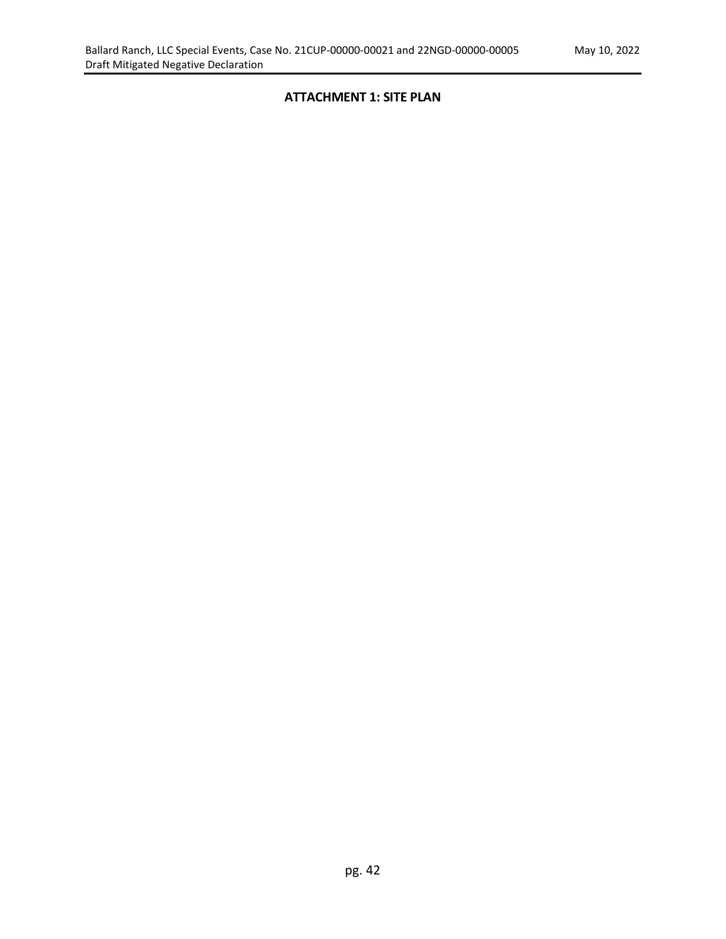#### **ATTACHMENT 1: SITE PLAN**